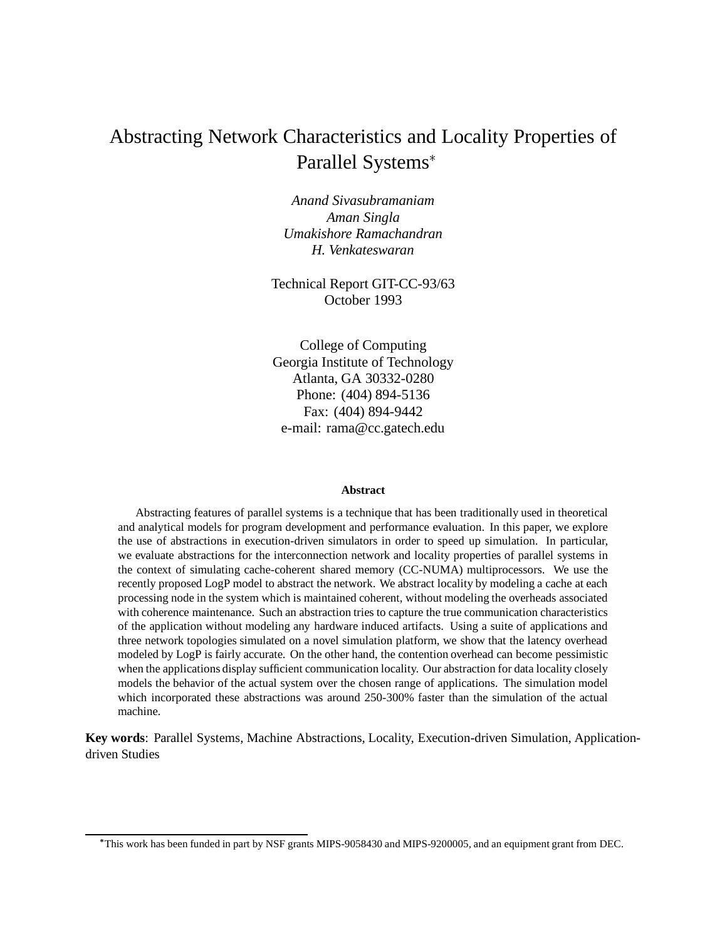## Abstracting Network Characteristics and Locality Properties of Parallel Systems

*Anand Sivasubramaniam Aman Singla Umakishore Ramachandran H. Venkateswaran*

Technical Report GIT-CC-93/63 October 1993

College of Computing Georgia Institute of Technology Atlanta, GA 30332-0280 Phone: (404) 894-5136 Fax: (404) 894-9442 e-mail: rama@cc.gatech.edu

#### **Abstract**

Abstracting features of parallel systems is a technique that has been traditionally used in theoretical and analytical models for program development and performance evaluation. In this paper, we explore the use of abstractions in execution-driven simulators in order to speed up simulation. In particular, we evaluate abstractions for the interconnection network and locality properties of parallel systems in the context of simulating cache-coherent shared memory (CC-NUMA) multiprocessors. We use the recently proposed LogP model to abstract the network. We abstract locality by modeling a cache at each processing node in the system which is maintained coherent, without modeling the overheads associated with coherence maintenance. Such an abstraction tries to capture the true communication characteristics of the application without modeling any hardware induced artifacts. Using a suite of applications and three network topologies simulated on a novel simulation platform, we show that the latency overhead modeled by LogP is fairly accurate. On the other hand, the contention overhead can become pessimistic when the applications display sufficient communication locality. Our abstraction for data locality closely models the behavior of the actual system over the chosen range of applications. The simulation model which incorporated these abstractions was around 250-300% faster than the simulation of the actual machine.

**Key words**: Parallel Systems, Machine Abstractions, Locality, Execution-driven Simulation, Applicationdriven Studies

This work has been funded in part by NSF grants MIPS-9058430 and MIPS-9200005, and an equipment grant from DEC.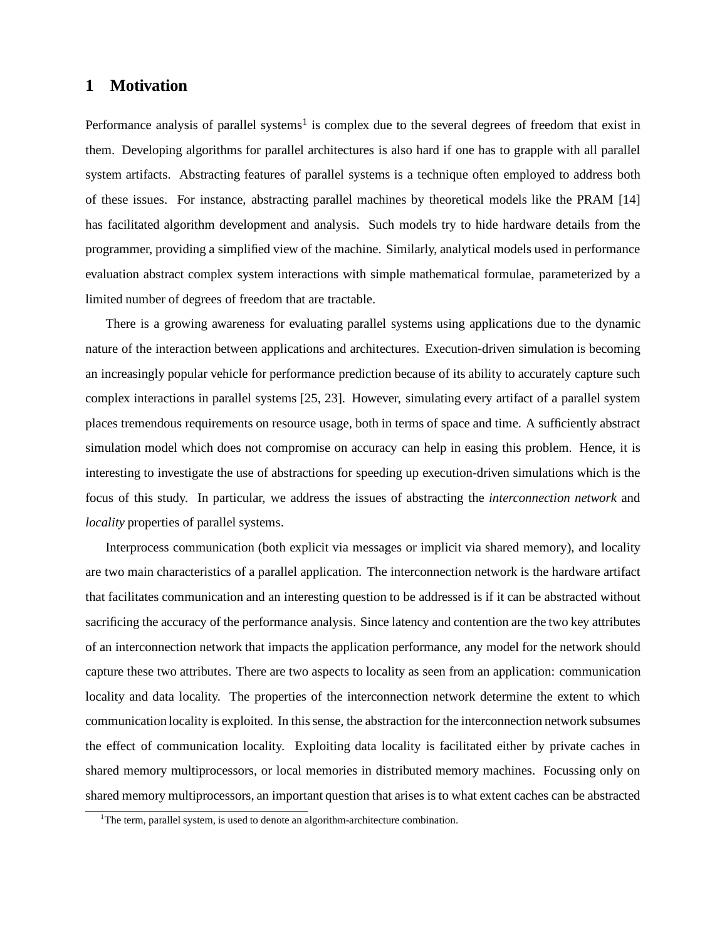## **1 Motivation**

Performance analysis of parallel systems<sup>1</sup> is complex due to the several degrees of freedom that exist in them. Developing algorithms for parallel architectures is also hard if one has to grapple with all parallel system artifacts. Abstracting features of parallel systems is a technique often employed to address both of these issues. For instance, abstracting parallel machines by theoretical models like the PRAM [14] has facilitated algorithm development and analysis. Such models try to hide hardware details from the programmer, providing a simplified view of the machine. Similarly, analytical models used in performance evaluation abstract complex system interactions with simple mathematical formulae, parameterized by a limited number of degrees of freedom that are tractable.

There is a growing awareness for evaluating parallel systems using applications due to the dynamic nature of the interaction between applications and architectures. Execution-driven simulation is becoming an increasingly popular vehicle for performance prediction because of its ability to accurately capture such complex interactions in parallel systems [25, 23]. However, simulating every artifact of a parallel system places tremendous requirements on resource usage, both in terms of space and time. A sufficiently abstract simulation model which does not compromise on accuracy can help in easing this problem. Hence, it is interesting to investigate the use of abstractions for speeding up execution-driven simulations which is the focus of this study. In particular, we address the issues of abstracting the *interconnection network* and *locality* properties of parallel systems.

Interprocess communication (both explicit via messages or implicit via shared memory), and locality are two main characteristics of a parallel application. The interconnection network is the hardware artifact that facilitates communication and an interesting question to be addressed is if it can be abstracted without sacrificing the accuracy of the performance analysis. Since latency and contention are the two key attributes of an interconnection network that impacts the application performance, any model for the network should capture these two attributes. There are two aspects to locality as seen from an application: communication locality and data locality. The properties of the interconnection network determine the extent to which communication locality is exploited. In thissense, the abstraction for the interconnection network subsumes the effect of communication locality. Exploiting data locality is facilitated either by private caches in shared memory multiprocessors, or local memories in distributed memory machines. Focussing only on shared memory multiprocessors, an important question that arises is to what extent caches can be abstracted

<sup>&</sup>lt;sup>1</sup>The term, parallel system, is used to denote an algorithm-architecture combination.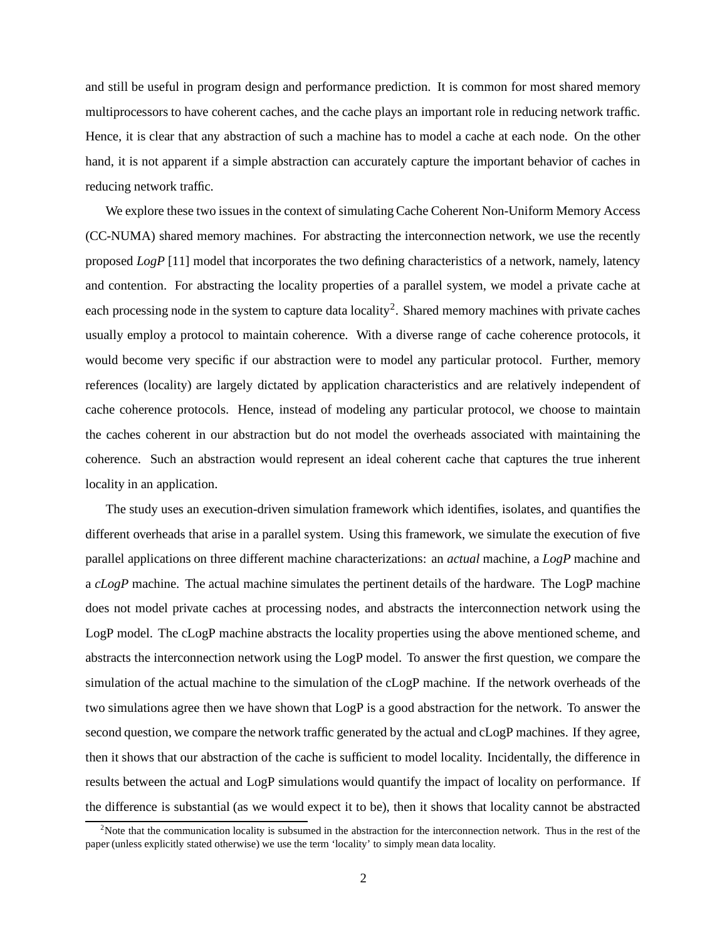and still be useful in program design and performance prediction. It is common for most shared memory multiprocessors to have coherent caches, and the cache plays an important role in reducing network traffic. Hence, it is clear that any abstraction of such a machine has to model a cache at each node. On the other hand, it is not apparent if a simple abstraction can accurately capture the important behavior of caches in reducing network traffic.

We explore these two issues in the context of simulating Cache Coherent Non-Uniform Memory Access (CC-NUMA) shared memory machines. For abstracting the interconnection network, we use the recently proposed *LogP* [11] model that incorporates the two defining characteristics of a network, namely, latency and contention. For abstracting the locality properties of a parallel system, we model a private cache at each processing node in the system to capture data locality<sup>2</sup>. Shared memory machines with private caches usually employ a protocol to maintain coherence. With a diverse range of cache coherence protocols, it would become very specific if our abstraction were to model any particular protocol. Further, memory references (locality) are largely dictated by application characteristics and are relatively independent of cache coherence protocols. Hence, instead of modeling any particular protocol, we choose to maintain the caches coherent in our abstraction but do not model the overheads associated with maintaining the coherence. Such an abstraction would represent an ideal coherent cache that captures the true inherent locality in an application.

The study uses an execution-driven simulation framework which identifies, isolates, and quantifies the different overheads that arise in a parallel system. Using this framework, we simulate the execution of five parallel applications on three different machine characterizations: an *actual* machine, a *LogP* machine and a *cLogP* machine. The actual machine simulates the pertinent details of the hardware. The LogP machine does not model private caches at processing nodes, and abstracts the interconnection network using the LogP model. The cLogP machine abstracts the locality properties using the above mentioned scheme, and abstracts the interconnection network using the LogP model. To answer the first question, we compare the simulation of the actual machine to the simulation of the cLogP machine. If the network overheads of the two simulations agree then we have shown that LogP is a good abstraction for the network. To answer the second question, we compare the network traffic generated by the actual and cLogP machines. If they agree, then it shows that our abstraction of the cache is sufficient to model locality. Incidentally, the difference in results between the actual and LogP simulations would quantify the impact of locality on performance. If the difference is substantial (as we would expect it to be), then it shows that locality cannot be abstracted

<sup>&</sup>lt;sup>2</sup>Note that the communication locality is subsumed in the abstraction for the interconnection network. Thus in the rest of the paper (unless explicitly stated otherwise) we use the term 'locality' to simply mean data locality.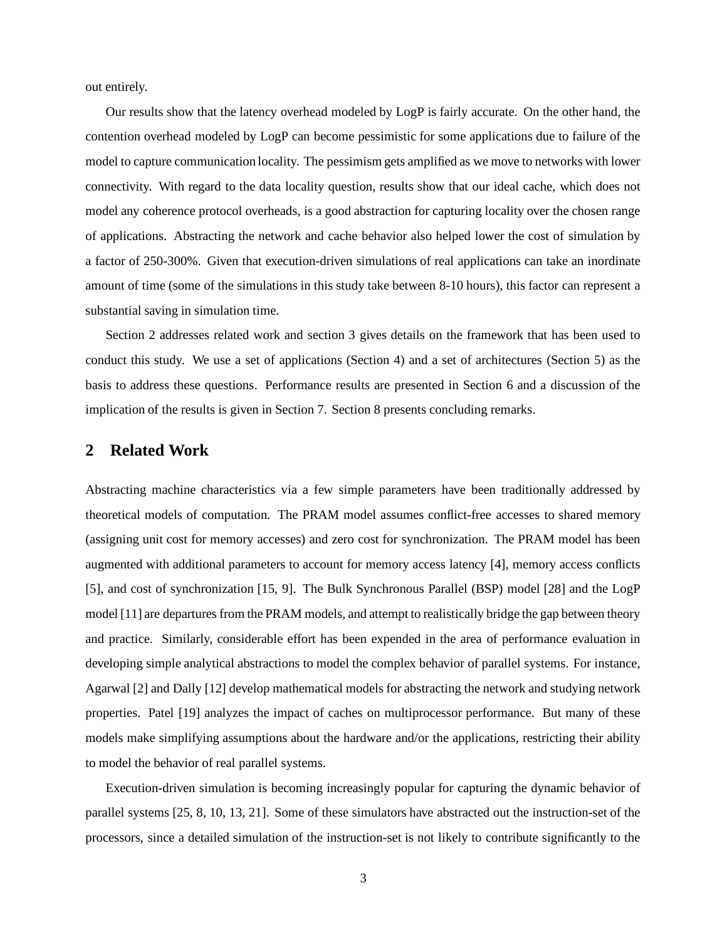out entirely.

Our results show that the latency overhead modeled by LogP is fairly accurate. On the other hand, the contention overhead modeled by LogP can become pessimistic for some applications due to failure of the model to capture communication locality. The pessimismgets amplified as we move to networks with lower connectivity. With regard to the data locality question, results show that our ideal cache, which does not model any coherence protocol overheads, is a good abstraction for capturing locality over the chosen range of applications. Abstracting the network and cache behavior also helped lower the cost of simulation by a factor of 250-300%. Given that execution-driven simulations of real applications can take an inordinate amount of time (some of the simulations in this study take between 8-10 hours), this factor can represent a substantial saving in simulation time.

Section 2 addresses related work and section 3 gives details on the framework that has been used to conduct this study. We use a set of applications (Section 4) and a set of architectures (Section 5) as the basis to address these questions. Performance results are presented in Section 6 and a discussion of the implication of the results is given in Section 7. Section 8 presents concluding remarks.

### **2 Related Work**

Abstracting machine characteristics via a few simple parameters have been traditionally addressed by theoretical models of computation. The PRAM model assumes conflict-free accesses to shared memory (assigning unit cost for memory accesses) and zero cost for synchronization. The PRAM model has been augmented with additional parameters to account for memory access latency [4], memory access conflicts [5], and cost of synchronization [15, 9]. The Bulk Synchronous Parallel (BSP) model [28] and the LogP model [11] are departures from the PRAM models, and attempt to realistically bridge the gap between theory and practice. Similarly, considerable effort has been expended in the area of performance evaluation in developing simple analytical abstractions to model the complex behavior of parallel systems. For instance, Agarwal [2] and Dally [12] develop mathematical models for abstracting the network and studying network properties. Patel [19] analyzes the impact of caches on multiprocessor performance. But many of these models make simplifying assumptions about the hardware and/or the applications, restricting their ability to model the behavior of real parallel systems.

Execution-driven simulation is becoming increasingly popular for capturing the dynamic behavior of parallel systems [25, 8, 10, 13, 21]. Some of these simulators have abstracted out the instruction-set of the processors, since a detailed simulation of the instruction-set is not likely to contribute significantly to the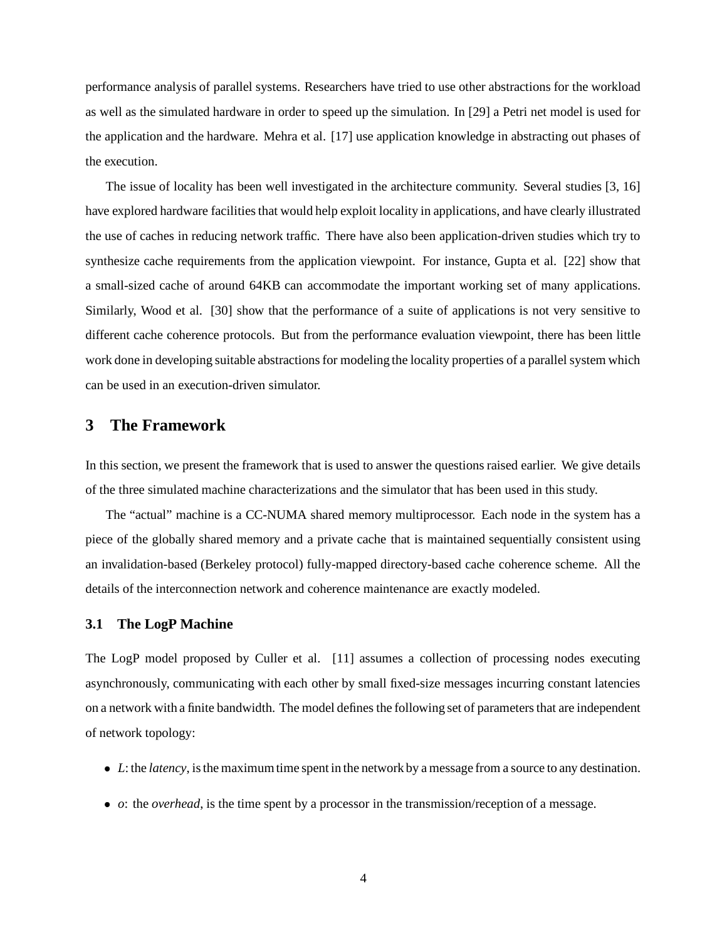performance analysis of parallel systems. Researchers have tried to use other abstractions for the workload as well as the simulated hardware in order to speed up the simulation. In [29] a Petri net model is used for the application and the hardware. Mehra et al. [17] use application knowledge in abstracting out phases of the execution.

The issue of locality has been well investigated in the architecture community. Several studies [3, 16] have explored hardware facilities that would help exploit locality in applications, and have clearly illustrated the use of caches in reducing network traffic. There have also been application-driven studies which try to synthesize cache requirements from the application viewpoint. For instance, Gupta et al. [22] show that a small-sized cache of around 64KB can accommodate the important working set of many applications. Similarly, Wood et al. [30] show that the performance of a suite of applications is not very sensitive to different cache coherence protocols. But from the performance evaluation viewpoint, there has been little work done in developing suitable abstractions for modeling the locality properties of a parallel system which can be used in an execution-driven simulator.

### **3 The Framework**

In this section, we present the framework that is used to answer the questions raised earlier. We give details of the three simulated machine characterizations and the simulator that has been used in this study.

The "actual" machine is a CC-NUMA shared memory multiprocessor. Each node in the system has a piece of the globally shared memory and a private cache that is maintained sequentially consistent using an invalidation-based (Berkeley protocol) fully-mapped directory-based cache coherence scheme. All the details of the interconnection network and coherence maintenance are exactly modeled.

#### **3.1 The LogP Machine**

The LogP model proposed by Culler et al. [11] assumes a collection of processing nodes executing asynchronously, communicating with each other by small fixed-size messages incurring constant latencies on a network with a finite bandwidth. The model defines the following set of parameters that are independent of network topology:

- L: the *latency*, is the maximum time spent in the network by a message from a source to any destination.
- *o*: the *overhead*, is the time spent by a processor in the transmission/reception of a message.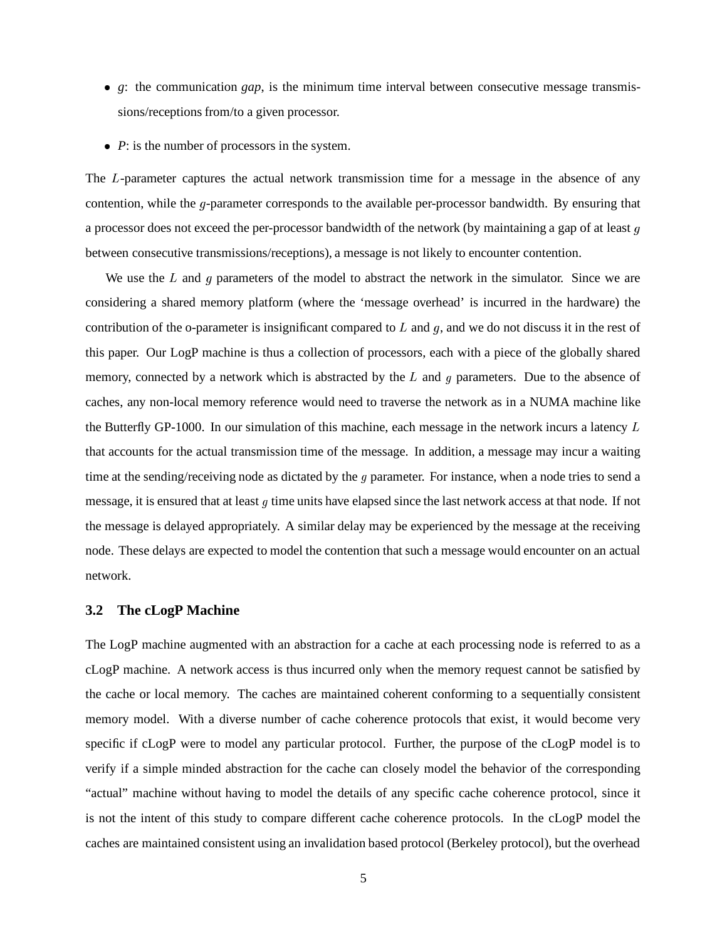- *g*: the communication *gap*, is the minimum time interval between consecutive message transmissions/receptions from/to a given processor.
- *P*: is the number of processors in the system.

The L-parameter captures the actual network transmission time for a message in the absence of any contention, while the  $q$ -parameter corresponds to the available per-processor bandwidth. By ensuring that a processor does not exceed the per-processor bandwidth of the network (by maintaining a gap of at least  $g$ between consecutive transmissions/receptions), a message is not likely to encounter contention.

We use the  $L$  and  $g$  parameters of the model to abstract the network in the simulator. Since we are considering a shared memory platform (where the 'message overhead' is incurred in the hardware) the contribution of the o-parameter is insignificant compared to  $L$  and  $g$ , and we do not discuss it in the rest of this paper. Our LogP machine is thus a collection of processors, each with a piece of the globally shared memory, connected by a network which is abstracted by the  $L$  and  $g$  parameters. Due to the absence of caches, any non-local memory reference would need to traverse the network as in a NUMA machine like the Butterfly GP-1000. In our simulation of this machine, each message in the network incurs a latency  $L$ that accounts for the actual transmission time of the message. In addition, a message may incur a waiting time at the sending/receiving node as dictated by the  $q$  parameter. For instance, when a node tries to send a message, it is ensured that at least  $g$  time units have elapsed since the last network access at that node. If not the message is delayed appropriately. A similar delay may be experienced by the message at the receiving node. These delays are expected to model the contention that such a message would encounter on an actual network.

#### **3.2 The cLogP Machine**

The LogP machine augmented with an abstraction for a cache at each processing node is referred to as a cLogP machine. A network access is thus incurred only when the memory request cannot be satisfied by the cache or local memory. The caches are maintained coherent conforming to a sequentially consistent memory model. With a diverse number of cache coherence protocols that exist, it would become very specific if cLogP were to model any particular protocol. Further, the purpose of the cLogP model is to verify if a simple minded abstraction for the cache can closely model the behavior of the corresponding "actual" machine without having to model the details of any specific cache coherence protocol, since it is not the intent of this study to compare different cache coherence protocols. In the cLogP model the caches are maintained consistent using an invalidation based protocol (Berkeley protocol), but the overhead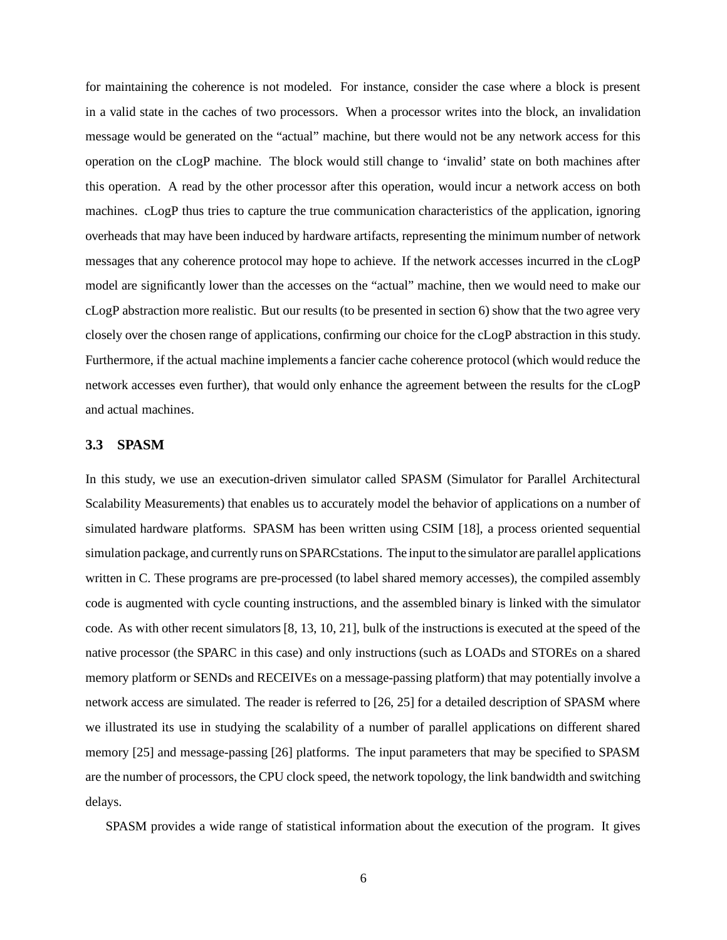for maintaining the coherence is not modeled. For instance, consider the case where a block is present in a valid state in the caches of two processors. When a processor writes into the block, an invalidation message would be generated on the "actual" machine, but there would not be any network access for this operation on the cLogP machine. The block would still change to 'invalid' state on both machines after this operation. A read by the other processor after this operation, would incur a network access on both machines. cLogP thus tries to capture the true communication characteristics of the application, ignoring overheads that may have been induced by hardware artifacts, representing the minimum number of network messages that any coherence protocol may hope to achieve. If the network accesses incurred in the cLogP model are significantly lower than the accesses on the "actual" machine, then we would need to make our cLogP abstraction more realistic. But our results (to be presented in section 6) show that the two agree very closely over the chosen range of applications, confirming our choice for the cLogP abstraction in this study. Furthermore, if the actual machine implements a fancier cache coherence protocol (which would reduce the network accesses even further), that would only enhance the agreement between the results for the cLogP and actual machines.

#### **3.3 SPASM**

In this study, we use an execution-driven simulator called SPASM (Simulator for Parallel Architectural Scalability Measurements) that enables us to accurately model the behavior of applications on a number of simulated hardware platforms. SPASM has been written using CSIM [18], a process oriented sequential simulation package, and currently runs on SPARCstations. The input to the simulator are parallel applications written in C. These programs are pre-processed (to label shared memory accesses), the compiled assembly code is augmented with cycle counting instructions, and the assembled binary is linked with the simulator code. As with other recent simulators [8, 13, 10, 21], bulk of the instructions is executed at the speed of the native processor (the SPARC in this case) and only instructions (such as LOADs and STOREs on a shared memory platform or SENDs and RECEIVEs on a message-passing platform) that may potentially involve a network access are simulated. The reader is referred to [26, 25] for a detailed description of SPASM where we illustrated its use in studying the scalability of a number of parallel applications on different shared memory [25] and message-passing [26] platforms. The input parameters that may be specified to SPASM are the number of processors, the CPU clock speed, the network topology, the link bandwidth and switching delays.

SPASM provides a wide range of statistical information about the execution of the program. It gives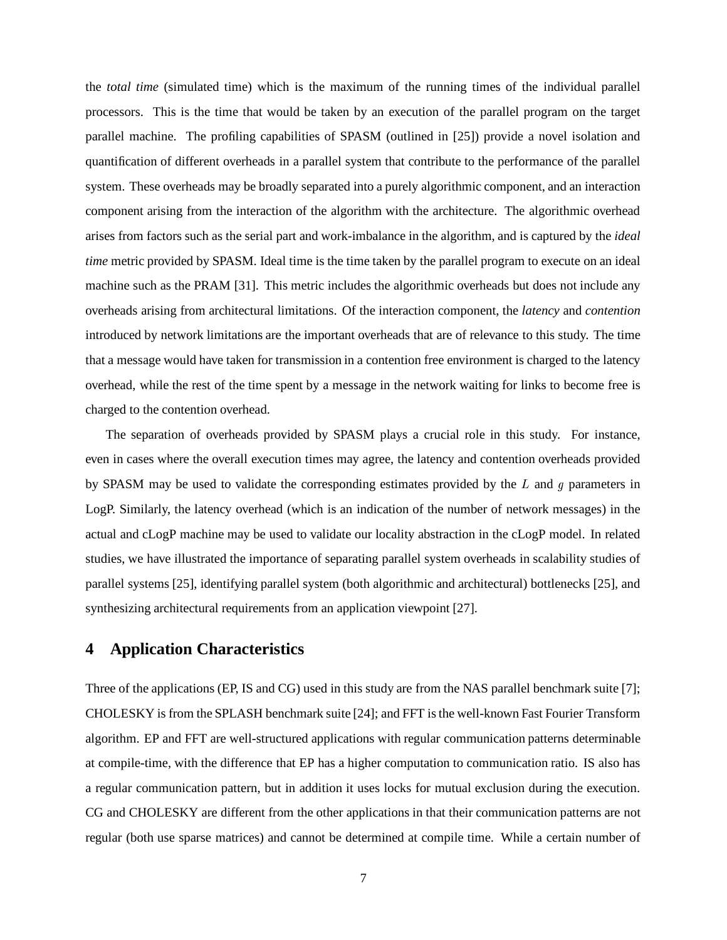the *total time* (simulated time) which is the maximum of the running times of the individual parallel processors. This is the time that would be taken by an execution of the parallel program on the target parallel machine. The profiling capabilities of SPASM (outlined in [25]) provide a novel isolation and quantification of different overheads in a parallel system that contribute to the performance of the parallel system. These overheads may be broadly separated into a purely algorithmic component, and an interaction component arising from the interaction of the algorithm with the architecture. The algorithmic overhead arises from factors such as the serial part and work-imbalance in the algorithm, and is captured by the *ideal time* metric provided by SPASM. Ideal time is the time taken by the parallel program to execute on an ideal machine such as the PRAM [31]. This metric includes the algorithmic overheads but does not include any overheads arising from architectural limitations. Of the interaction component, the *latency* and *contention* introduced by network limitations are the important overheads that are of relevance to this study. The time that a message would have taken for transmission in a contention free environment is charged to the latency overhead, while the rest of the time spent by a message in the network waiting for links to become free is charged to the contention overhead.

The separation of overheads provided by SPASM plays a crucial role in this study. For instance, even in cases where the overall execution times may agree, the latency and contention overheads provided by SPASM may be used to validate the corresponding estimates provided by the  $L$  and  $g$  parameters in LogP. Similarly, the latency overhead (which is an indication of the number of network messages) in the actual and cLogP machine may be used to validate our locality abstraction in the cLogP model. In related studies, we have illustrated the importance of separating parallel system overheads in scalability studies of parallel systems [25], identifying parallel system (both algorithmic and architectural) bottlenecks [25], and synthesizing architectural requirements from an application viewpoint [27].

## **4 Application Characteristics**

Three of the applications (EP, IS and CG) used in this study are from the NAS parallel benchmark suite [7]; CHOLESKY is from the SPLASH benchmark suite [24]; and FFT isthe well-known Fast Fourier Transform algorithm. EP and FFT are well-structured applications with regular communication patterns determinable at compile-time, with the difference that EP has a higher computation to communication ratio. IS also has a regular communication pattern, but in addition it uses locks for mutual exclusion during the execution. CG and CHOLESKY are different from the other applications in that their communication patterns are not regular (both use sparse matrices) and cannot be determined at compile time. While a certain number of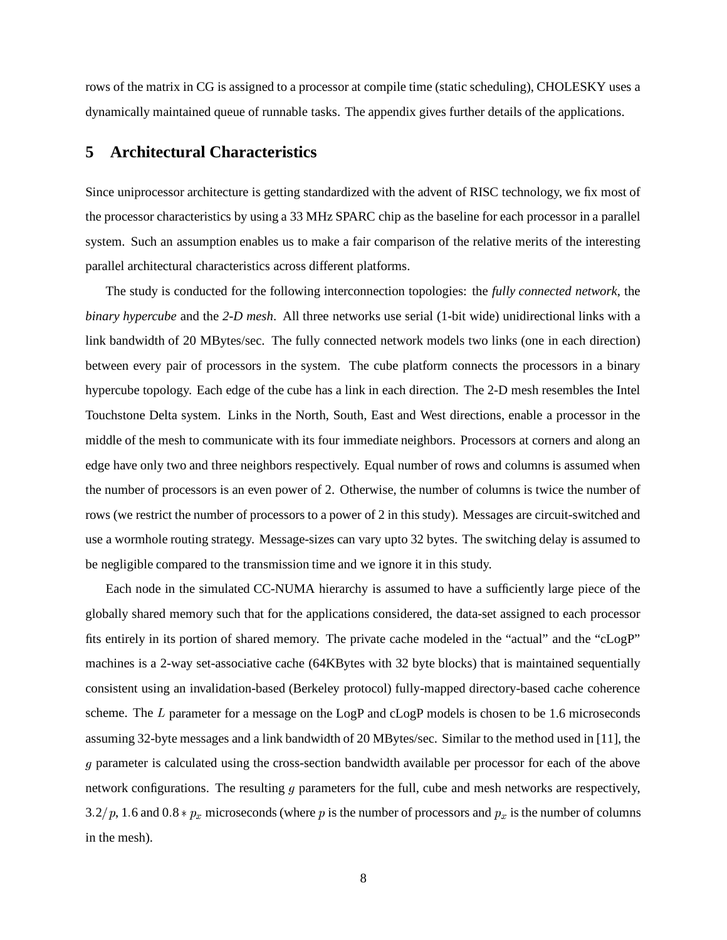rows of the matrix in CG is assigned to a processor at compile time (static scheduling), CHOLESKY uses a dynamically maintained queue of runnable tasks. The appendix gives further details of the applications.

## **5 Architectural Characteristics**

Since uniprocessor architecture is getting standardized with the advent of RISC technology, we fix most of the processor characteristics by using a 33 MHz SPARC chip as the baseline for each processor in a parallel system. Such an assumption enables us to make a fair comparison of the relative merits of the interesting parallel architectural characteristics across different platforms.

The study is conducted for the following interconnection topologies: the *fully connected network*, the *binary hypercube* and the *2-D mesh*. All three networks use serial (1-bit wide) unidirectional links with a link bandwidth of 20 MBytes/sec. The fully connected network models two links (one in each direction) between every pair of processors in the system. The cube platform connects the processors in a binary hypercube topology. Each edge of the cube has a link in each direction. The 2-D mesh resembles the Intel Touchstone Delta system. Links in the North, South, East and West directions, enable a processor in the middle of the mesh to communicate with its four immediate neighbors. Processors at corners and along an edge have only two and three neighbors respectively. Equal number of rows and columns is assumed when the number of processors is an even power of 2. Otherwise, the number of columns is twice the number of rows (we restrict the number of processors to a power of 2 in this study). Messages are circuit-switched and use a wormhole routing strategy. Message-sizes can vary upto 32 bytes. The switching delay is assumed to be negligible compared to the transmission time and we ignore it in this study.

Each node in the simulated CC-NUMA hierarchy is assumed to have a sufficiently large piece of the globally shared memory such that for the applications considered, the data-set assigned to each processor fits entirely in its portion of shared memory. The private cache modeled in the "actual" and the "cLogP" machines is a 2-way set-associative cache (64KBytes with 32 byte blocks) that is maintained sequentially consistent using an invalidation-based (Berkeley protocol) fully-mapped directory-based cache coherence scheme. The  $L$  parameter for a message on the LogP and cLogP models is chosen to be 1.6 microseconds assuming 32-byte messages and a link bandwidth of 20 MBytes/sec. Similar to the method used in [11], the parameter is calculated using the cross-section bandwidth available per processor for each of the above network configurations. The resulting  $q$  parameters for the full, cube and mesh networks are respectively, 3.2/p, 1.6 and 0.8  $* p_x$  microseconds (where p is the number of processors and  $p_x$  is the number of columns in the mesh).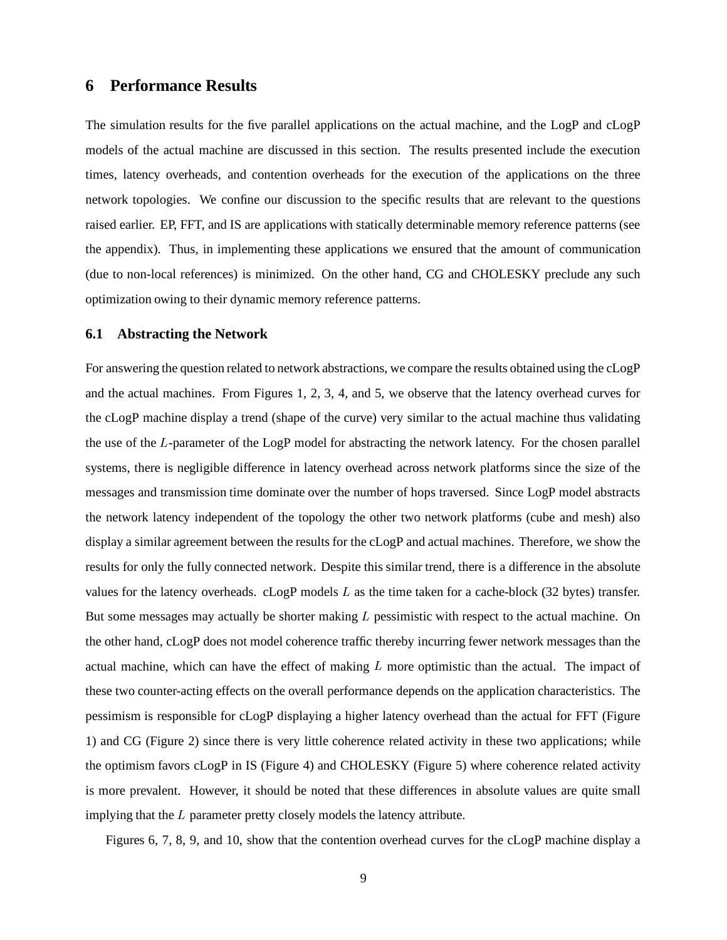### **6 Performance Results**

The simulation results for the five parallel applications on the actual machine, and the LogP and cLogP models of the actual machine are discussed in this section. The results presented include the execution times, latency overheads, and contention overheads for the execution of the applications on the three network topologies. We confine our discussion to the specific results that are relevant to the questions raised earlier. EP, FFT, and IS are applications with statically determinable memory reference patterns (see the appendix). Thus, in implementing these applications we ensured that the amount of communication (due to non-local references) is minimized. On the other hand, CG and CHOLESKY preclude any such optimization owing to their dynamic memory reference patterns.

#### **6.1 Abstracting the Network**

For answering the question related to network abstractions, we compare the results obtained using the cLogP and the actual machines. From Figures 1, 2, 3, 4, and 5, we observe that the latency overhead curves for the cLogP machine display a trend (shape of the curve) very similar to the actual machine thus validating the use of the L-parameter of the LogP model for abstracting the network latency. For the chosen parallel systems, there is negligible difference in latency overhead across network platforms since the size of the messages and transmission time dominate over the number of hops traversed. Since LogP model abstracts the network latency independent of the topology the other two network platforms (cube and mesh) also display a similar agreement between the results for the cLogP and actual machines. Therefore, we show the results for only the fully connected network. Despite this similar trend, there is a difference in the absolute values for the latency overheads. cLogP models  $L$  as the time taken for a cache-block (32 bytes) transfer. But some messages may actually be shorter making  $L$  pessimistic with respect to the actual machine. On the other hand, cLogP does not model coherence traffic thereby incurring fewer network messages than the actual machine, which can have the effect of making  $L$  more optimistic than the actual. The impact of these two counter-acting effects on the overall performance depends on the application characteristics. The pessimism is responsible for cLogP displaying a higher latency overhead than the actual for FFT (Figure 1) and CG (Figure 2) since there is very little coherence related activity in these two applications; while the optimism favors cLogP in IS (Figure 4) and CHOLESKY (Figure 5) where coherence related activity is more prevalent. However, it should be noted that these differences in absolute values are quite small implying that the  $L$  parameter pretty closely models the latency attribute.

Figures 6, 7, 8, 9, and 10, show that the contention overhead curves for the cLogP machine display a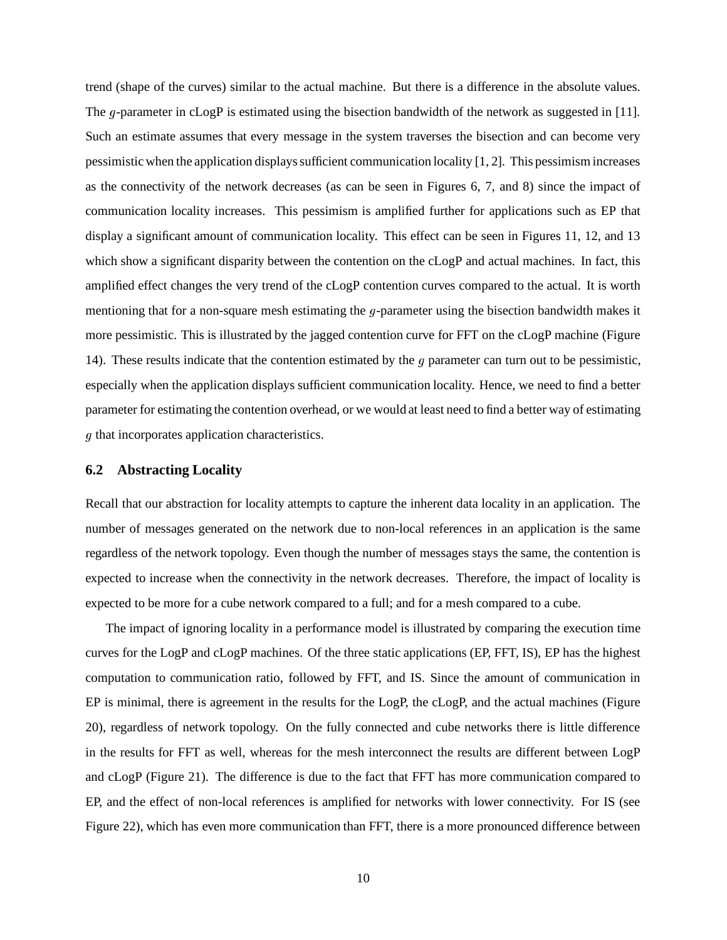trend (shape of the curves) similar to the actual machine. But there is a difference in the absolute values. The  $q$ -parameter in cLogP is estimated using the bisection bandwidth of the network as suggested in [11]. Such an estimate assumes that every message in the system traverses the bisection and can become very pessimistic when the application displayssufficient communication locality [1, 2]. This pessimismincreases as the connectivity of the network decreases (as can be seen in Figures 6, 7, and 8) since the impact of communication locality increases. This pessimism is amplified further for applications such as EP that display a significant amount of communication locality. This effect can be seen in Figures 11, 12, and 13 which show a significant disparity between the contention on the cLogP and actual machines. In fact, this amplified effect changes the very trend of the cLogP contention curves compared to the actual. It is worth mentioning that for a non-square mesh estimating the  $q$ -parameter using the bisection bandwidth makes it more pessimistic. This is illustrated by the jagged contention curve for FFT on the cLogP machine (Figure 14). These results indicate that the contention estimated by the q parameter can turn out to be pessimistic, especially when the application displays sufficient communication locality. Hence, we need to find a better parameter for estimating the contention overhead, or we would at least need to find a better way of estimating  *that incorporates application characteristics.* 

#### **6.2 Abstracting Locality**

Recall that our abstraction for locality attempts to capture the inherent data locality in an application. The number of messages generated on the network due to non-local references in an application is the same regardless of the network topology. Even though the number of messages stays the same, the contention is expected to increase when the connectivity in the network decreases. Therefore, the impact of locality is expected to be more for a cube network compared to a full; and for a mesh compared to a cube.

The impact of ignoring locality in a performance model is illustrated by comparing the execution time curves for the LogP and cLogP machines. Of the three static applications (EP, FFT, IS), EP has the highest computation to communication ratio, followed by FFT, and IS. Since the amount of communication in EP is minimal, there is agreement in the results for the LogP, the cLogP, and the actual machines (Figure 20), regardless of network topology. On the fully connected and cube networks there is little difference in the results for FFT as well, whereas for the mesh interconnect the results are different between LogP and cLogP (Figure 21). The difference is due to the fact that FFT has more communication compared to EP, and the effect of non-local references is amplified for networks with lower connectivity. For IS (see Figure 22), which has even more communication than FFT, there is a more pronounced difference between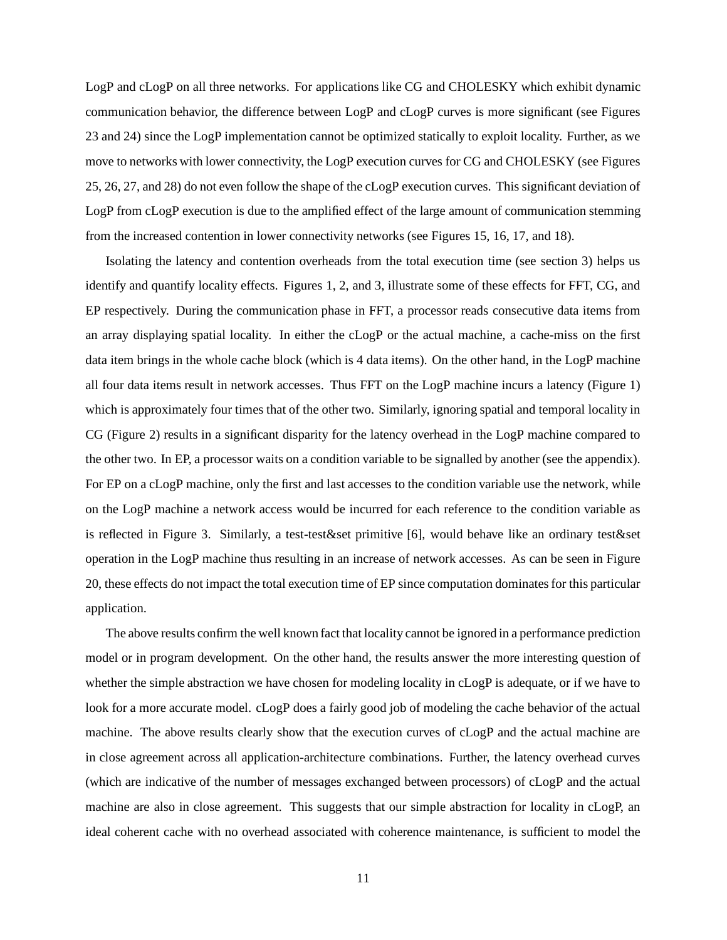LogP and cLogP on all three networks. For applications like CG and CHOLESKY which exhibit dynamic communication behavior, the difference between LogP and cLogP curves is more significant (see Figures 23 and 24) since the LogP implementation cannot be optimized statically to exploit locality. Further, as we move to networks with lower connectivity, the LogP execution curves for CG and CHOLESKY (see Figures 25, 26, 27, and 28) do not even follow the shape of the cLogP execution curves. This significant deviation of LogP from cLogP execution is due to the amplified effect of the large amount of communication stemming from the increased contention in lower connectivity networks (see Figures 15, 16, 17, and 18).

Isolating the latency and contention overheads from the total execution time (see section 3) helps us identify and quantify locality effects. Figures 1, 2, and 3, illustrate some of these effects for FFT, CG, and EP respectively. During the communication phase in FFT, a processor reads consecutive data items from an array displaying spatial locality. In either the cLogP or the actual machine, a cache-miss on the first data item brings in the whole cache block (which is 4 data items). On the other hand, in the LogP machine all four data items result in network accesses. Thus FFT on the LogP machine incurs a latency (Figure 1) which is approximately four times that of the other two. Similarly, ignoring spatial and temporal locality in CG (Figure 2) results in a significant disparity for the latency overhead in the LogP machine compared to the other two. In EP, a processor waits on a condition variable to be signalled by another (see the appendix). For EP on a cLogP machine, only the first and last accesses to the condition variable use the network, while on the LogP machine a network access would be incurred for each reference to the condition variable as is reflected in Figure 3. Similarly, a test-test&set primitive [6], would behave like an ordinary test&set operation in the LogP machine thus resulting in an increase of network accesses. As can be seen in Figure 20, these effects do not impact the total execution time of EP since computation dominatesfor this particular application.

The above results confirm the well known fact that locality cannot be ignored in a performance prediction model or in program development. On the other hand, the results answer the more interesting question of whether the simple abstraction we have chosen for modeling locality in cLogP is adequate, or if we have to look for a more accurate model. cLogP does a fairly good job of modeling the cache behavior of the actual machine. The above results clearly show that the execution curves of cLogP and the actual machine are in close agreement across all application-architecture combinations. Further, the latency overhead curves (which are indicative of the number of messages exchanged between processors) of cLogP and the actual machine are also in close agreement. This suggests that our simple abstraction for locality in cLogP, an ideal coherent cache with no overhead associated with coherence maintenance, is sufficient to model the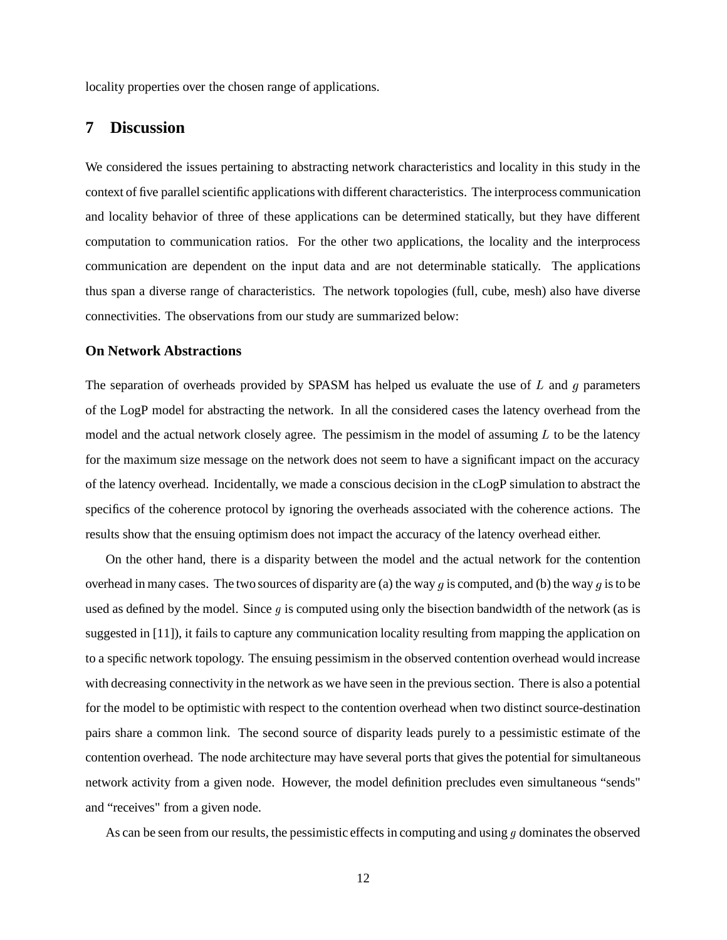locality properties over the chosen range of applications.

## **7 Discussion**

We considered the issues pertaining to abstracting network characteristics and locality in this study in the context of five parallel scientific applications with different characteristics. The interprocess communication and locality behavior of three of these applications can be determined statically, but they have different computation to communication ratios. For the other two applications, the locality and the interprocess communication are dependent on the input data and are not determinable statically. The applications thus span a diverse range of characteristics. The network topologies (full, cube, mesh) also have diverse connectivities. The observations from our study are summarized below:

#### **On Network Abstractions**

The separation of overheads provided by SPASM has helped us evaluate the use of  $L$  and  $g$  parameters of the LogP model for abstracting the network. In all the considered cases the latency overhead from the model and the actual network closely agree. The pessimism in the model of assuming  $L$  to be the latency for the maximum size message on the network does not seem to have a significant impact on the accuracy of the latency overhead. Incidentally, we made a conscious decision in the cLogP simulation to abstract the specifics of the coherence protocol by ignoring the overheads associated with the coherence actions. The results show that the ensuing optimism does not impact the accuracy of the latency overhead either.

On the other hand, there is a disparity between the model and the actual network for the contention overhead in many cases. The two sources of disparity are (a) the way q is computed, and (b) the way q is to be used as defined by the model. Since  $q$  is computed using only the bisection bandwidth of the network (as is suggested in [11]), it fails to capture any communication locality resulting from mapping the application on to a specific network topology. The ensuing pessimism in the observed contention overhead would increase with decreasing connectivity in the network as we have seen in the previous section. There is also a potential for the model to be optimistic with respect to the contention overhead when two distinct source-destination pairs share a common link. The second source of disparity leads purely to a pessimistic estimate of the contention overhead. The node architecture may have several ports that gives the potential for simultaneous network activity from a given node. However, the model definition precludes even simultaneous "sends" and "receives" from a given node.

As can be seen from our results, the pessimistic effects in computing and using  $q$  dominates the observed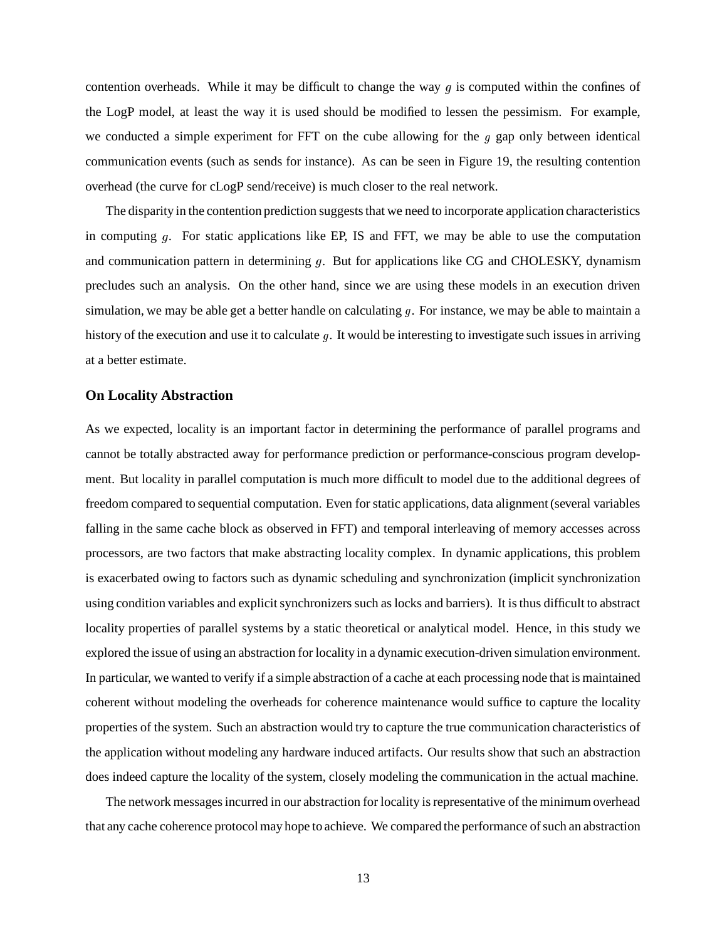contention overheads. While it may be difficult to change the way  $q$  is computed within the confines of the LogP model, at least the way it is used should be modified to lessen the pessimism. For example, we conducted a simple experiment for FFT on the cube allowing for the  $q$  gap only between identical communication events (such as sends for instance). As can be seen in Figure 19, the resulting contention overhead (the curve for cLogP send/receive) is much closer to the real network.

The disparity in the contention prediction suggests that we need to incorporate application characteristics in computing  $q$ . For static applications like EP, IS and FFT, we may be able to use the computation and communication pattern in determining  $q$ . But for applications like CG and CHOLESKY, dynamism precludes such an analysis. On the other hand, since we are using these models in an execution driven simulation, we may be able get a better handle on calculating  $q$ . For instance, we may be able to maintain a history of the execution and use it to calculate  $q$ . It would be interesting to investigate such issues in arriving at a better estimate.

#### **On Locality Abstraction**

As we expected, locality is an important factor in determining the performance of parallel programs and cannot be totally abstracted away for performance prediction or performance-conscious program development. But locality in parallel computation is much more difficult to model due to the additional degrees of freedom compared to sequential computation. Even for static applications, data alignment(several variables falling in the same cache block as observed in FFT) and temporal interleaving of memory accesses across processors, are two factors that make abstracting locality complex. In dynamic applications, this problem is exacerbated owing to factors such as dynamic scheduling and synchronization (implicit synchronization using condition variables and explicitsynchronizers such as locks and barriers). It isthus difficult to abstract locality properties of parallel systems by a static theoretical or analytical model. Hence, in this study we explored the issue of using an abstraction for locality in a dynamic execution-driven simulation environment. In particular, we wanted to verify if a simple abstraction of a cache at each processing node that is maintained coherent without modeling the overheads for coherence maintenance would suffice to capture the locality properties of the system. Such an abstraction would try to capture the true communication characteristics of the application without modeling any hardware induced artifacts. Our results show that such an abstraction does indeed capture the locality of the system, closely modeling the communication in the actual machine.

The network messages incurred in our abstraction for locality is representative of the minimum overhead that any cache coherence protocolmay hope to achieve. We compared the performance ofsuch an abstraction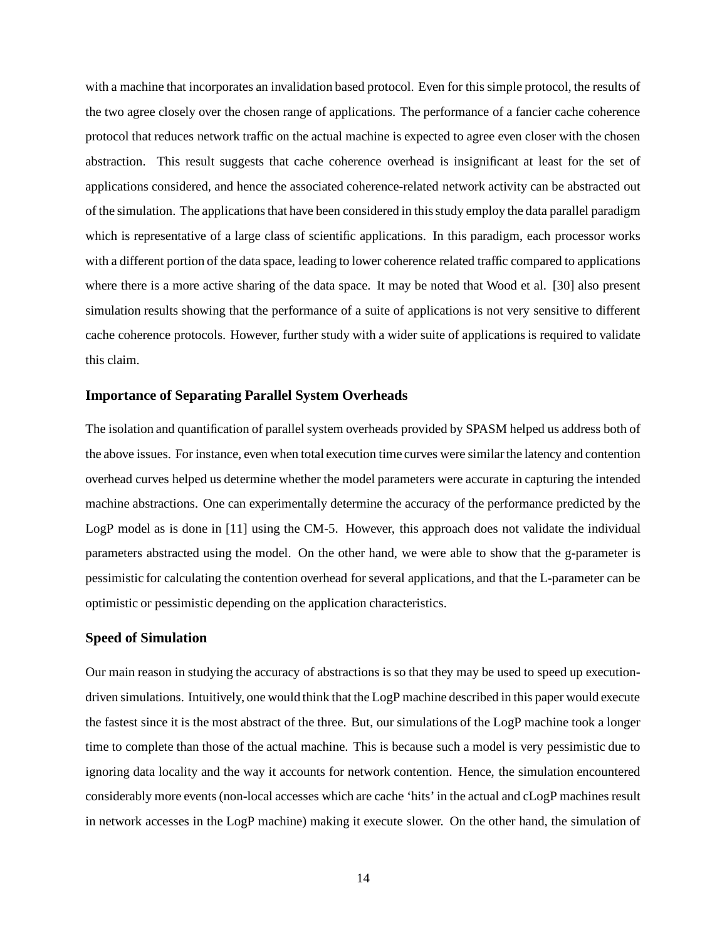with a machine that incorporates an invalidation based protocol. Even for this simple protocol, the results of the two agree closely over the chosen range of applications. The performance of a fancier cache coherence protocol that reduces network traffic on the actual machine is expected to agree even closer with the chosen abstraction. This result suggests that cache coherence overhead is insignificant at least for the set of applications considered, and hence the associated coherence-related network activity can be abstracted out of the simulation. The applicationsthat have been considered in thisstudy employ the data parallel paradigm which is representative of a large class of scientific applications. In this paradigm, each processor works with a different portion of the data space, leading to lower coherence related traffic compared to applications where there is a more active sharing of the data space. It may be noted that Wood et al. [30] also present simulation results showing that the performance of a suite of applications is not very sensitive to different cache coherence protocols. However, further study with a wider suite of applications is required to validate this claim.

#### **Importance of Separating Parallel System Overheads**

The isolation and quantification of parallel system overheads provided by SPASM helped us address both of the above issues. For instance, even when total execution time curves were similarthe latency and contention overhead curves helped us determine whether the model parameters were accurate in capturing the intended machine abstractions. One can experimentally determine the accuracy of the performance predicted by the LogP model as is done in [11] using the CM-5. However, this approach does not validate the individual parameters abstracted using the model. On the other hand, we were able to show that the g-parameter is pessimistic for calculating the contention overhead for several applications, and that the L-parameter can be optimistic or pessimistic depending on the application characteristics.

#### **Speed of Simulation**

Our main reason in studying the accuracy of abstractions is so that they may be used to speed up executiondriven simulations. Intuitively, one would think that the LogP machine described in this paper would execute the fastest since it is the most abstract of the three. But, our simulations of the LogP machine took a longer time to complete than those of the actual machine. This is because such a model is very pessimistic due to ignoring data locality and the way it accounts for network contention. Hence, the simulation encountered considerably more events (non-local accesses which are cache 'hits' in the actual and cLogP machines result in network accesses in the LogP machine) making it execute slower. On the other hand, the simulation of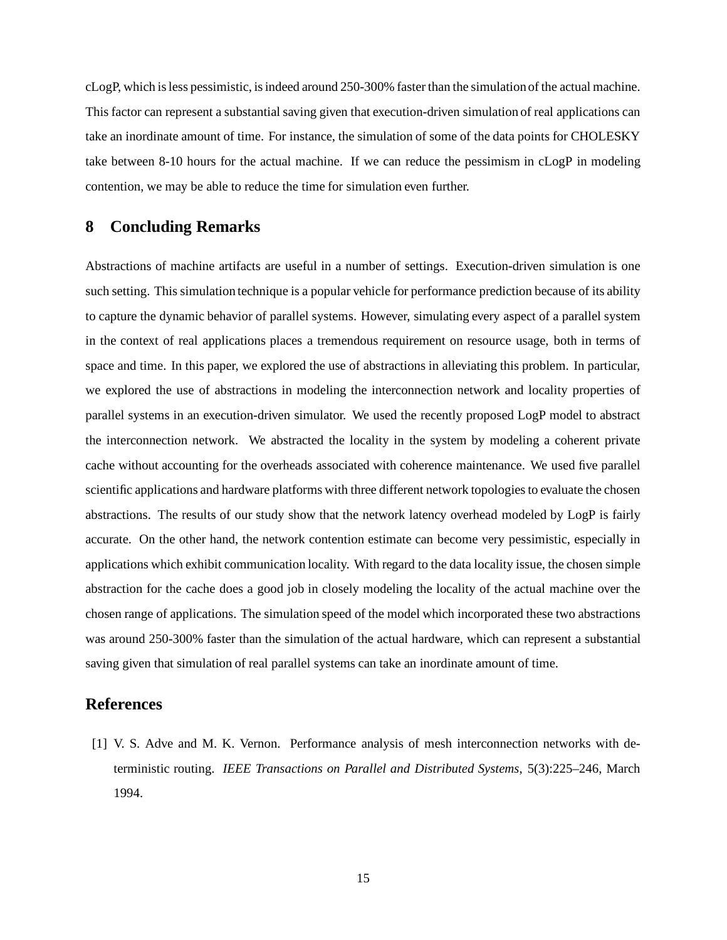cLogP, which isless pessimistic, isindeed around 250-300% faster than the simulation of the actual machine. This factor can represent a substantial saving given that execution-driven simulation of real applications can take an inordinate amount of time. For instance, the simulation of some of the data points for CHOLESKY take between 8-10 hours for the actual machine. If we can reduce the pessimism in cLogP in modeling contention, we may be able to reduce the time for simulation even further.

### **8 Concluding Remarks**

Abstractions of machine artifacts are useful in a number of settings. Execution-driven simulation is one such setting. This simulation technique is a popular vehicle for performance prediction because of its ability to capture the dynamic behavior of parallel systems. However, simulating every aspect of a parallel system in the context of real applications places a tremendous requirement on resource usage, both in terms of space and time. In this paper, we explored the use of abstractions in alleviating this problem. In particular, we explored the use of abstractions in modeling the interconnection network and locality properties of parallel systems in an execution-driven simulator. We used the recently proposed LogP model to abstract the interconnection network. We abstracted the locality in the system by modeling a coherent private cache without accounting for the overheads associated with coherence maintenance. We used five parallel scientific applications and hardware platforms with three different network topologiesto evaluate the chosen abstractions. The results of our study show that the network latency overhead modeled by LogP is fairly accurate. On the other hand, the network contention estimate can become very pessimistic, especially in applications which exhibit communication locality. With regard to the data locality issue, the chosen simple abstraction for the cache does a good job in closely modeling the locality of the actual machine over the chosen range of applications. The simulation speed of the model which incorporated these two abstractions was around 250-300% faster than the simulation of the actual hardware, which can represent a substantial saving given that simulation of real parallel systems can take an inordinate amount of time.

### **References**

[1] V. S. Adve and M. K. Vernon. Performance analysis of mesh interconnection networks with deterministic routing. *IEEE Transactions on Parallel and Distributed Systems*, 5(3):225–246, March 1994.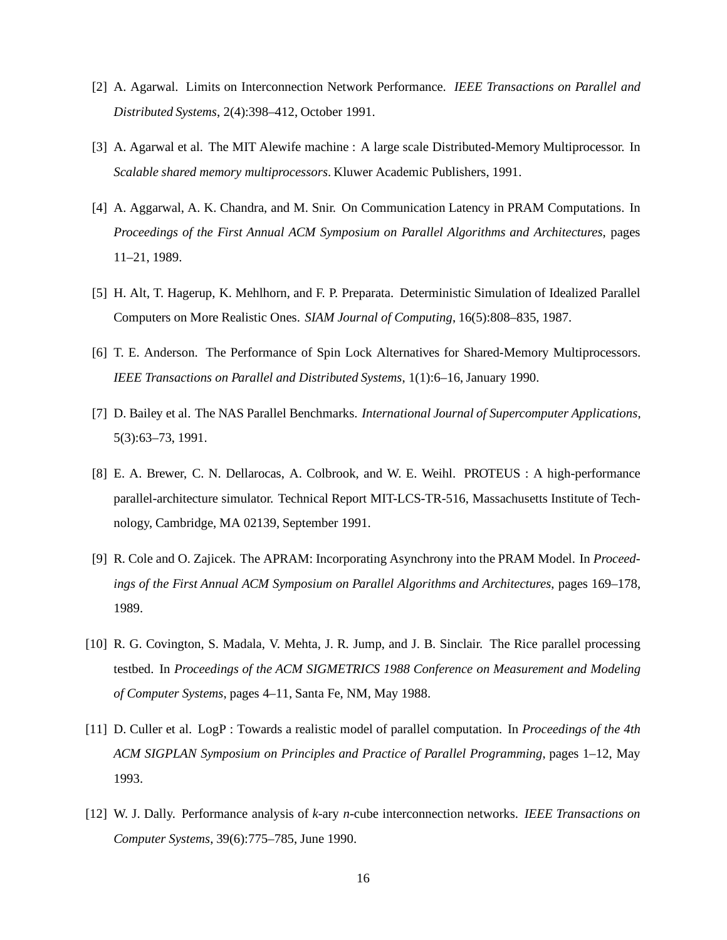- [2] A. Agarwal. Limits on Interconnection Network Performance. *IEEE Transactions on Parallel and Distributed Systems*, 2(4):398–412, October 1991.
- [3] A. Agarwal et al. The MIT Alewife machine : A large scale Distributed-Memory Multiprocessor. In *Scalable shared memory multiprocessors*. Kluwer Academic Publishers, 1991.
- [4] A. Aggarwal, A. K. Chandra, and M. Snir. On Communication Latency in PRAM Computations. In *Proceedings of the First Annual ACM Symposium on Parallel Algorithms and Architectures*, pages 11–21, 1989.
- [5] H. Alt, T. Hagerup, K. Mehlhorn, and F. P. Preparata. Deterministic Simulation of Idealized Parallel Computers on More Realistic Ones. *SIAM Journal of Computing*, 16(5):808–835, 1987.
- [6] T. E. Anderson. The Performance of Spin Lock Alternatives for Shared-Memory Multiprocessors. *IEEE Transactions on Parallel and Distributed Systems*, 1(1):6–16, January 1990.
- [7] D. Bailey et al. The NAS Parallel Benchmarks. *International Journal of Supercomputer Applications*, 5(3):63–73, 1991.
- [8] E. A. Brewer, C. N. Dellarocas, A. Colbrook, and W. E. Weihl. PROTEUS : A high-performance parallel-architecture simulator. Technical Report MIT-LCS-TR-516, Massachusetts Institute of Technology, Cambridge, MA 02139, September 1991.
- [9] R. Cole and O. Zajicek. The APRAM: Incorporating Asynchrony into the PRAM Model. In *Proceedings of the First Annual ACM Symposium on Parallel Algorithms and Architectures*, pages 169–178, 1989.
- [10] R. G. Covington, S. Madala, V. Mehta, J. R. Jump, and J. B. Sinclair. The Rice parallel processing testbed. In *Proceedings of the ACM SIGMETRICS 1988 Conference on Measurement and Modeling of Computer Systems*, pages 4–11, Santa Fe, NM, May 1988.
- [11] D. Culler et al. LogP : Towards a realistic model of parallel computation. In *Proceedings of the 4th ACM SIGPLAN Symposium on Principles and Practice of Parallel Programming*, pages 1–12, May 1993.
- [12] W. J. Dally. Performance analysis of *k*-ary *n*-cube interconnection networks. *IEEE Transactions on Computer Systems*, 39(6):775–785, June 1990.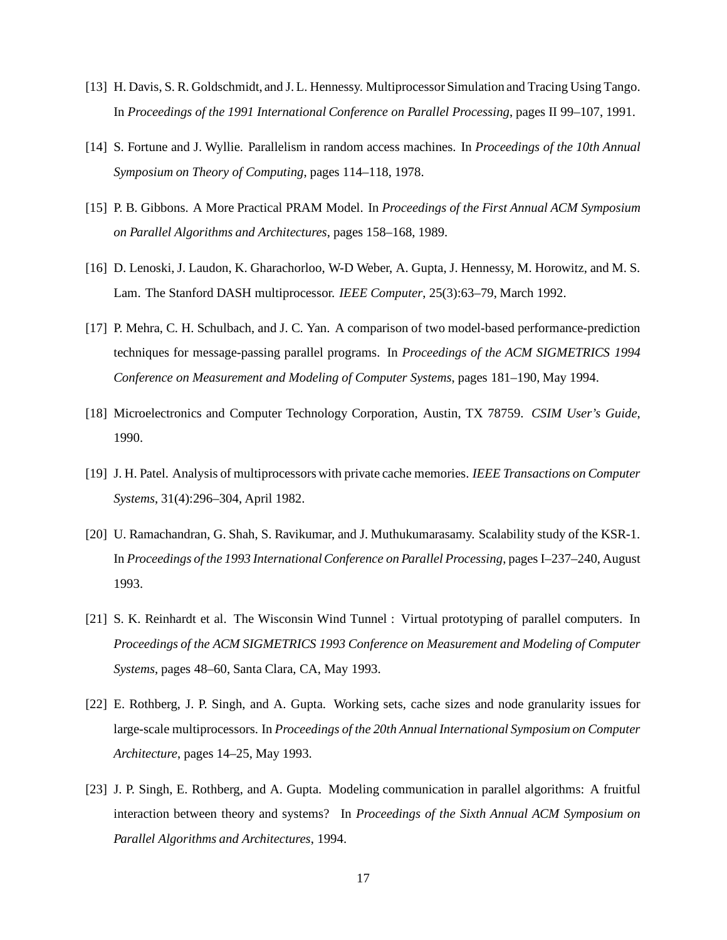- [13] H. Davis, S. R. Goldschmidt, and J. L. Hennessy. Multiprocessor Simulation and Tracing Using Tango. In *Proceedings of the 1991 International Conference on Parallel Processing*, pages II 99–107, 1991.
- [14] S. Fortune and J. Wyllie. Parallelism in random access machines. In *Proceedings of the 10th Annual Symposium on Theory of Computing*, pages 114–118, 1978.
- [15] P. B. Gibbons. A More Practical PRAM Model. In *Proceedings of the First Annual ACM Symposium on Parallel Algorithms and Architectures*, pages 158–168, 1989.
- [16] D. Lenoski, J. Laudon, K. Gharachorloo, W-D Weber, A. Gupta, J. Hennessy, M. Horowitz, and M. S. Lam. The Stanford DASH multiprocessor. *IEEE Computer*, 25(3):63–79, March 1992.
- [17] P. Mehra, C. H. Schulbach, and J. C. Yan. A comparison of two model-based performance-prediction techniques for message-passing parallel programs. In *Proceedings of the ACM SIGMETRICS 1994 Conference on Measurement and Modeling of Computer Systems*, pages 181–190, May 1994.
- [18] Microelectronics and Computer Technology Corporation, Austin, TX 78759. *CSIM User's Guide*, 1990.
- [19] J. H. Patel. Analysis of multiprocessors with private cache memories. *IEEE Transactions on Computer Systems*, 31(4):296–304, April 1982.
- [20] U. Ramachandran, G. Shah, S. Ravikumar, and J. Muthukumarasamy. Scalability study of the KSR-1. In *Proceedings of the 1993 InternationalConference on Parallel Processing*, pages I–237–240, August 1993.
- [21] S. K. Reinhardt et al. The Wisconsin Wind Tunnel : Virtual prototyping of parallel computers. In *Proceedings of the ACM SIGMETRICS 1993 Conference on Measurement and Modeling of Computer Systems*, pages 48–60, Santa Clara, CA, May 1993.
- [22] E. Rothberg, J. P. Singh, and A. Gupta. Working sets, cache sizes and node granularity issues for large-scale multiprocessors. In *Proceedings of the 20th Annual International Symposium on Computer Architecture*, pages 14–25, May 1993.
- [23] J. P. Singh, E. Rothberg, and A. Gupta. Modeling communication in parallel algorithms: A fruitful interaction between theory and systems? In *Proceedings of the Sixth Annual ACM Symposium on Parallel Algorithms and Architectures*, 1994.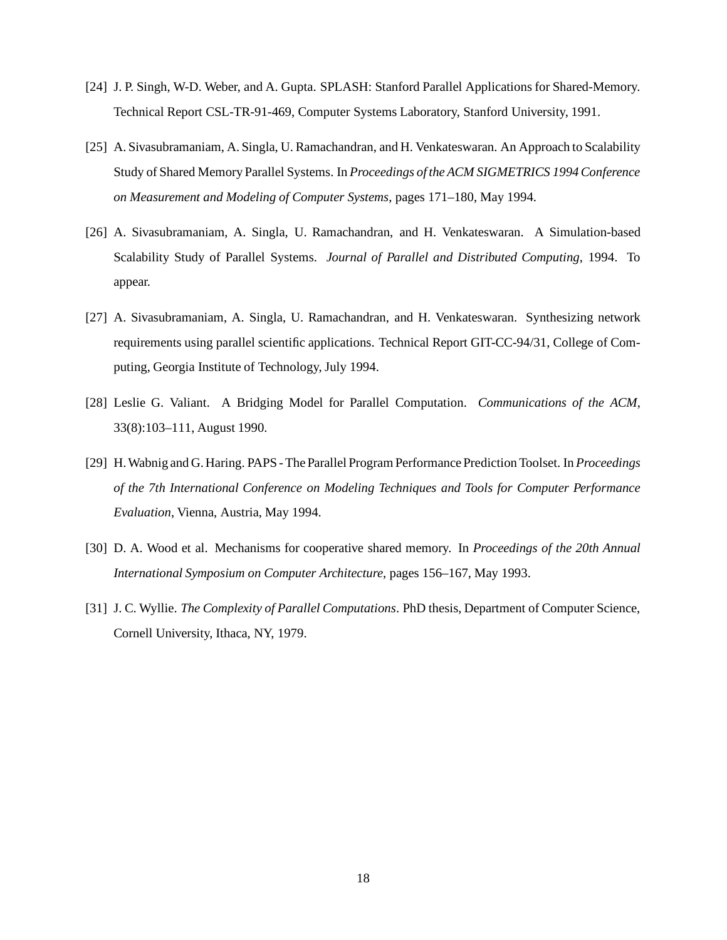- [24] J. P. Singh, W-D. Weber, and A. Gupta. SPLASH: Stanford Parallel Applications for Shared-Memory. Technical Report CSL-TR-91-469, Computer Systems Laboratory, Stanford University, 1991.
- [25] A. Sivasubramaniam, A. Singla, U. Ramachandran, and H. Venkateswaran. An Approach to Scalability Study of Shared Memory Parallel Systems. In *Proceedings of the ACM SIGMETRICS 1994Conference on Measurement and Modeling of Computer Systems*, pages 171–180, May 1994.
- [26] A. Sivasubramaniam, A. Singla, U. Ramachandran, and H. Venkateswaran. A Simulation-based Scalability Study of Parallel Systems. *Journal of Parallel and Distributed Computing*, 1994. To appear.
- [27] A. Sivasubramaniam, A. Singla, U. Ramachandran, and H. Venkateswaran. Synthesizing network requirements using parallel scientific applications. Technical Report GIT-CC-94/31, College of Computing, Georgia Institute of Technology, July 1994.
- [28] Leslie G. Valiant. A Bridging Model for Parallel Computation. *Communications of the ACM*, 33(8):103–111, August 1990.
- [29] H.Wabnig and G. Haring. PAPS The Parallel ProgramPerformance Prediction Toolset. In *Proceedings of the 7th International Conference on Modeling Techniques and Tools for Computer Performance Evaluation*, Vienna, Austria, May 1994.
- [30] D. A. Wood et al. Mechanisms for cooperative shared memory. In *Proceedings of the 20th Annual International Symposium on Computer Architecture*, pages 156–167, May 1993.
- [31] J. C. Wyllie. *The Complexity of Parallel Computations*. PhD thesis, Department of Computer Science, Cornell University, Ithaca, NY, 1979.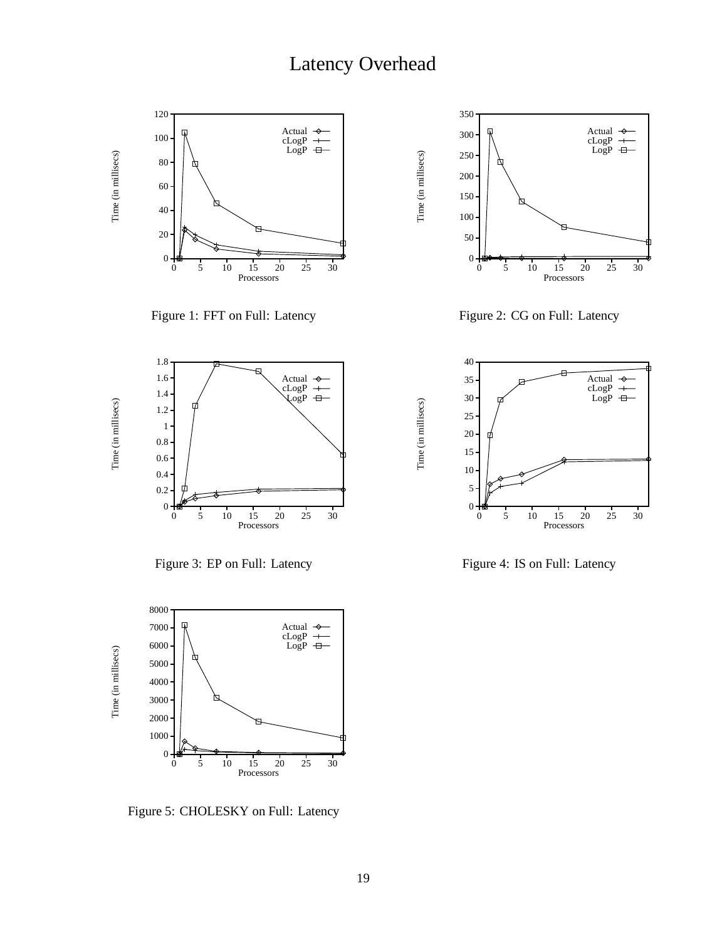## Latency Overhead

Time (in millisecs)

Time (in millisecs)

Time (in millisecs)

Time (in millisecs)



Figure 1: FFT on Full: Latency



Figure 2: CG on Full: Latency



Figure 3: EP on Full: Latency



Figure 5: CHOLESKY on Full: Latency



Figure 4: IS on Full: Latency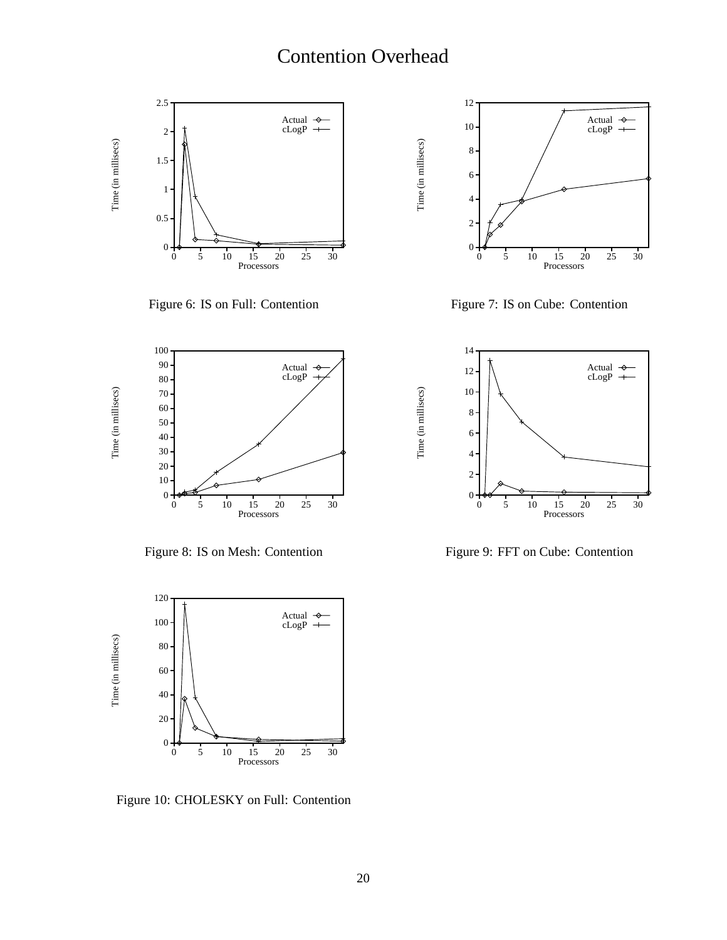## Contention Overhead

Time (in millisecs)



Figure 6: IS on Full: Contention



Figure 7: IS on Cube: Contention



Figure 8: IS on Mesh: Contention



Figure 10: CHOLESKY on Full: Contention



Figure 9: FFT on Cube: Contention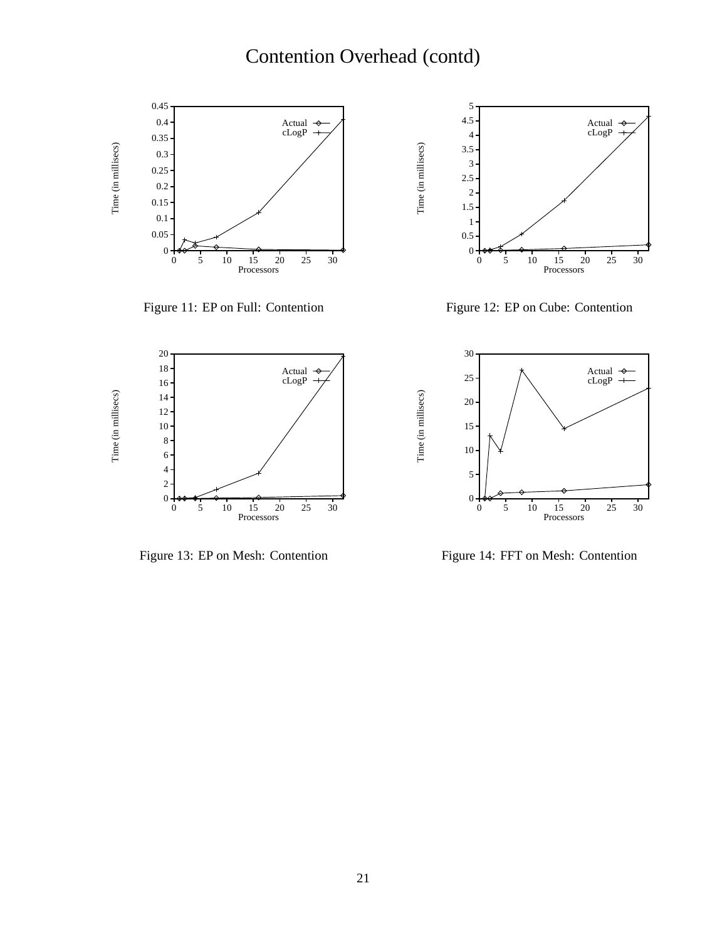# Contention Overhead (contd)

Time (in millisecs)

Time (in millisecs)



Figure 11: EP on Full: Contention



Figure 12: EP on Cube: Contention



Figure 13: EP on Mesh: Contention



Figure 14: FFT on Mesh: Contention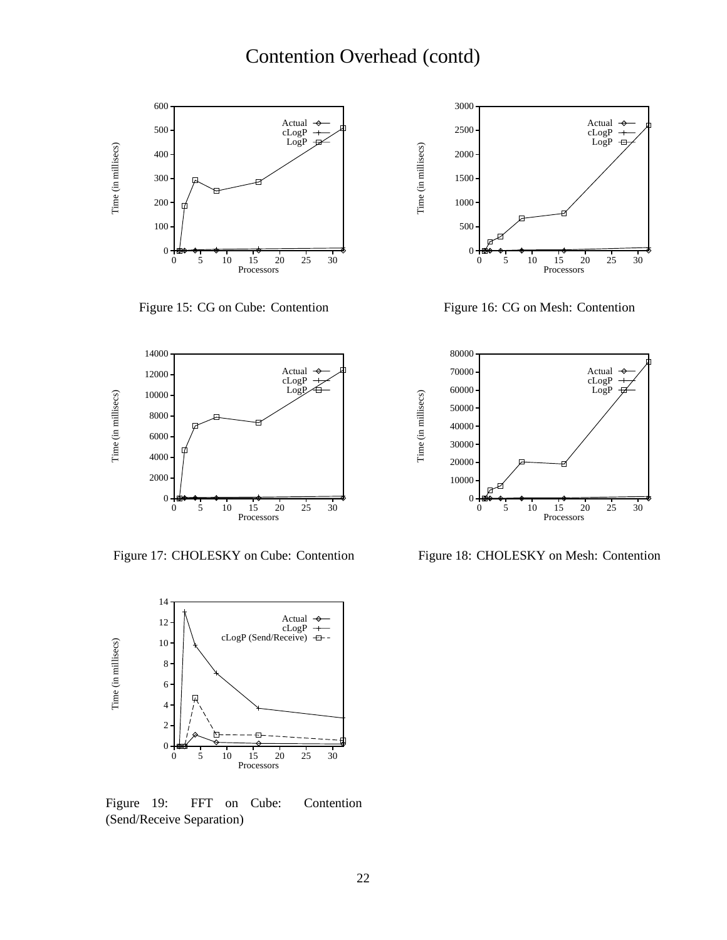

Figure 15: CG on Cube: Contention



Figure 17: CHOLESKY on Cube: Contention



Figure 19: FFT on Cube: Contention (Send/Receive Separation)



Figure 16: CG on Mesh: Contention



Figure 18: CHOLESKY on Mesh: Contention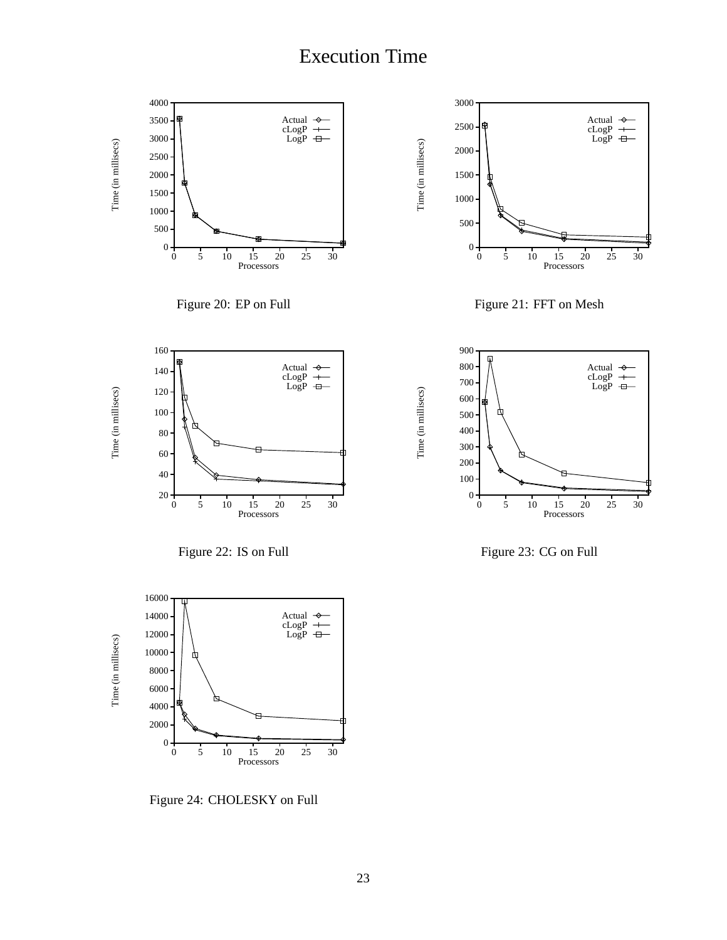## Execution Time



Figure 24: CHOLESKY on Full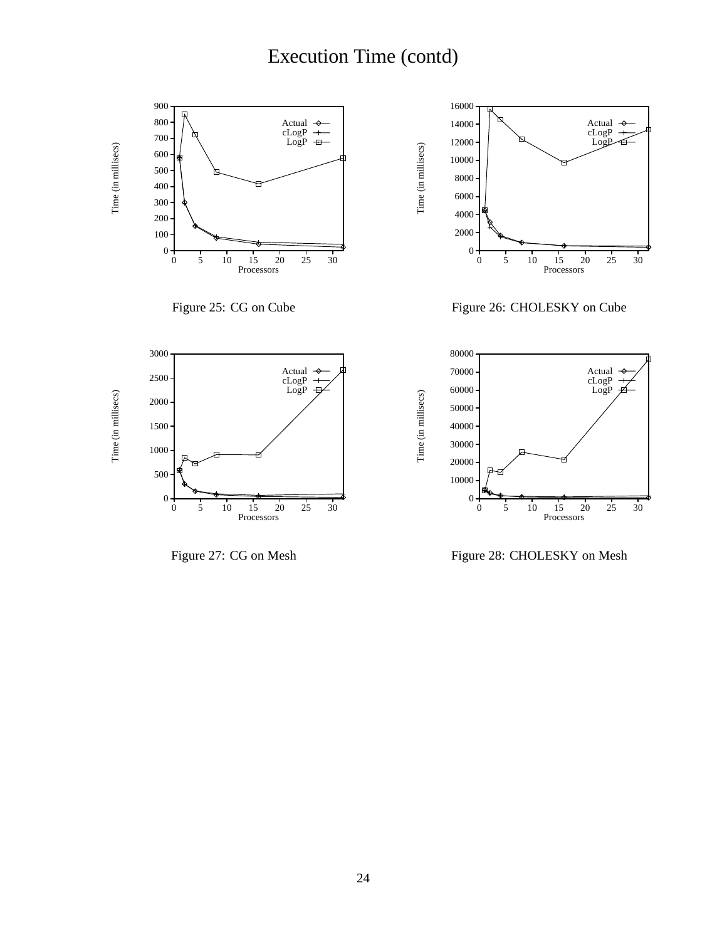# Execution Time (contd)



Figure 27: CG on Mesh

Figure 28: CHOLESKY on Mesh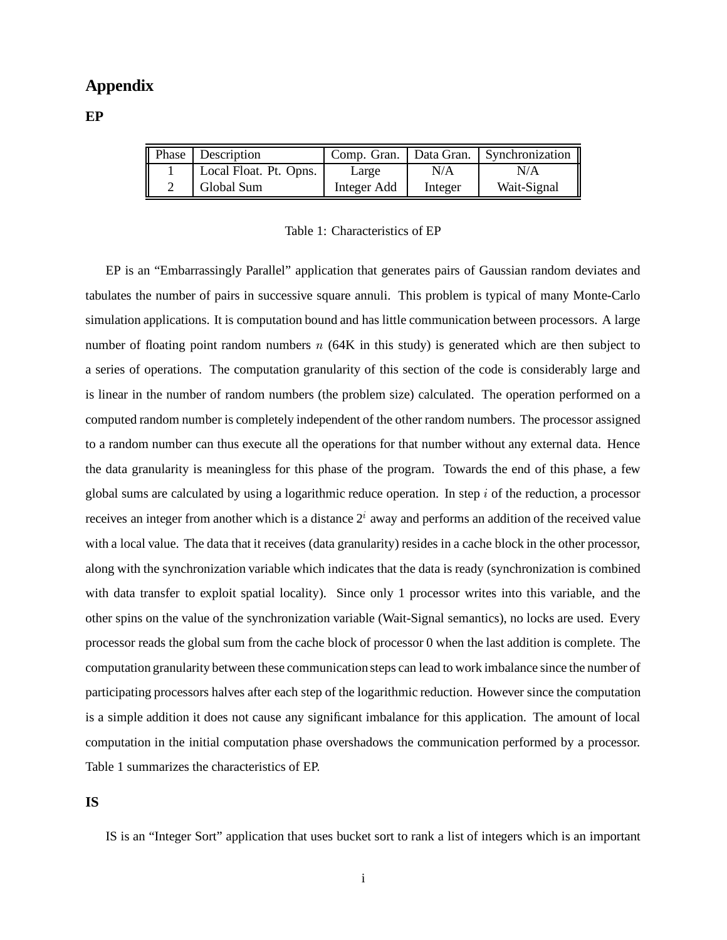## **Appendix**

**EP**

| <b>Phase</b> | <b>Description</b>     |             |         | Comp. Gran.   Data Gran.   Synchronization |
|--------------|------------------------|-------------|---------|--------------------------------------------|
|              | Local Float. Pt. Opns. | Large       | N/A     | N/A                                        |
|              | Global Sum             | Integer Add | Integer | Wait-Signal                                |

#### Table 1: Characteristics of EP

EP is an "Embarrassingly Parallel" application that generates pairs of Gaussian random deviates and tabulates the number of pairs in successive square annuli. This problem is typical of many Monte-Carlo simulation applications. It is computation bound and has little communication between processors. A large number of floating point random numbers  $n(64K)$  in this study) is generated which are then subject to a series of operations. The computation granularity of this section of the code is considerably large and is linear in the number of random numbers (the problem size) calculated. The operation performed on a computed random number is completely independent of the other random numbers. The processor assigned to a random number can thus execute all the operations for that number without any external data. Hence the data granularity is meaningless for this phase of the program. Towards the end of this phase, a few global sums are calculated by using a logarithmic reduce operation. In step  $i$  of the reduction, a processor receives an integer from another which is a distance  $2<sup>i</sup>$  away and performs an addition of the received value with a local value. The data that it receives (data granularity) resides in a cache block in the other processor, along with the synchronization variable which indicates that the data is ready (synchronization is combined with data transfer to exploit spatial locality). Since only 1 processor writes into this variable, and the other spins on the value of the synchronization variable (Wait-Signal semantics), no locks are used. Every processor reads the global sum from the cache block of processor 0 when the last addition is complete. The computation granularity between these communication steps can lead to work imbalance since the number of participating processors halves after each step of the logarithmic reduction. However since the computation is a simple addition it does not cause any significant imbalance for this application. The amount of local computation in the initial computation phase overshadows the communication performed by a processor. Table 1 summarizes the characteristics of EP.

**IS**

IS is an "Integer Sort" application that uses bucket sort to rank a list of integers which is an important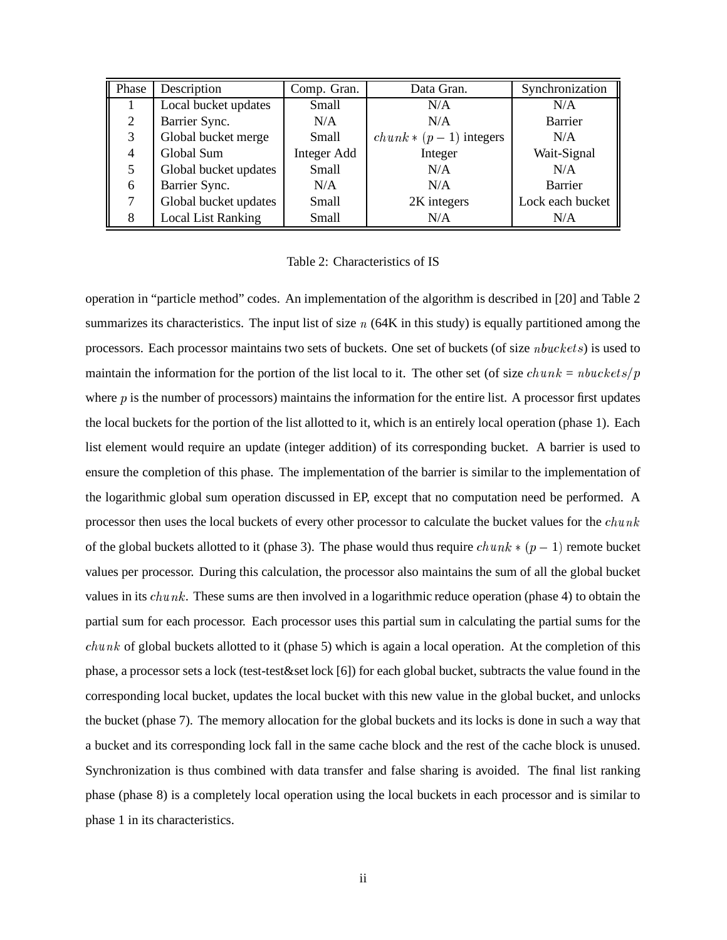| Phase          | Description               | Comp. Gran. | Data Gran.               | Synchronization  |
|----------------|---------------------------|-------------|--------------------------|------------------|
|                | Local bucket updates      | Small       | N/A                      | N/A              |
| $\overline{2}$ | Barrier Sync.             | N/A         | N/A                      | Barrier          |
| 3              | Global bucket merge       | Small       | $chunk * (p-1)$ integers | N/A              |
| 4              | Global Sum                | Integer Add | Integer                  | Wait-Signal      |
| 5              | Global bucket updates     | Small       | N/A                      | N/A              |
| 6              | Barrier Sync.             | N/A         | N/A                      | Barrier          |
| 7              | Global bucket updates     | Small       | 2K integers              | Lock each bucket |
| 8              | <b>Local List Ranking</b> | Small       | N/A                      | N/A              |

Table 2: Characteristics of IS

operation in "particle method" codes. An implementation of the algorithm is described in [20] and Table 2 summarizes its characteristics. The input list of size  $n$  (64K in this study) is equally partitioned among the processors. Each processor maintains two sets of buckets. One set of buckets (of size  $\nu$ buckets) is used to maintain the information for the portion of the list local to it. The other set (of size  $chunk = nbuckets/p$ where  $p$  is the number of processors) maintains the information for the entire list. A processor first updates the local buckets for the portion of the list allotted to it, which is an entirely local operation (phase 1). Each list element would require an update (integer addition) of its corresponding bucket. A barrier is used to ensure the completion of this phase. The implementation of the barrier is similar to the implementation of the logarithmic global sum operation discussed in EP, except that no computation need be performed. A processor then uses the local buckets of every other processor to calculate the bucket values for the  $chunk$ of the global buckets allotted to it (phase 3). The phase would thus require  $chunk * (p - 1)$  remote bucket values per processor. During this calculation, the processor also maintains the sum of all the global bucket values in its  $chunk$ . These sums are then involved in a logarithmic reduce operation (phase 4) to obtain the partial sum for each processor. Each processor uses this partial sum in calculating the partial sums for the  $chunk of global buckets allotted to it (phase 5) which is again a local operation. At the completion of this$ phase, a processor sets a lock (test-test&set lock [6]) for each global bucket, subtracts the value found in the corresponding local bucket, updates the local bucket with this new value in the global bucket, and unlocks the bucket (phase 7). The memory allocation for the global buckets and its locks is done in such a way that a bucket and its corresponding lock fall in the same cache block and the rest of the cache block is unused. Synchronization is thus combined with data transfer and false sharing is avoided. The final list ranking phase (phase 8) is a completely local operation using the local buckets in each processor and is similar to phase 1 in its characteristics.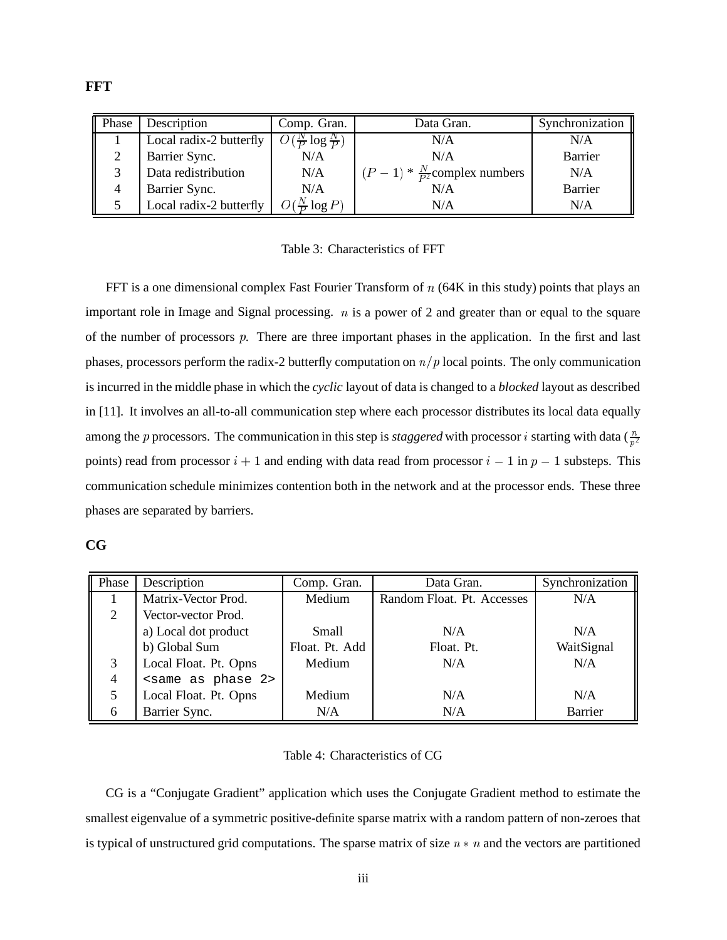| Phase | Description             | Comp. Gran.                    | Data Gran.                              | Synchronization |
|-------|-------------------------|--------------------------------|-----------------------------------------|-----------------|
|       | Local radix-2 butterfly | $\frac{N}{P} \log \frac{N}{P}$ | N/A                                     | N/A             |
|       | Barrier Sync.           | N/A                            | N/A                                     | <b>Barrier</b>  |
|       | Data redistribution     | N/A                            | $(P-1) * \frac{N}{P^2}$ complex numbers | N/A             |
|       | Barrier Sync.           | N/A                            | N/A                                     | Barrier         |
|       | Local radix-2 butterfly | $O(\frac{N}{D}\log P)$         | N/A                                     | N/A             |

Table 3: Characteristics of FFT

FFT is a one dimensional complex Fast Fourier Transform of  $n$  (64K in this study) points that plays an important role in Image and Signal processing.  $n$  is a power of 2 and greater than or equal to the square of the number of processors  $p$ . There are three important phases in the application. In the first and last phases, processors perform the radix-2 butterfly computation on  $n/p$  local points. The only communication is incurred in the middle phase in which the *cyclic* layout of data is changed to a *blocked* layout as described in [11]. It involves an all-to-all communication step where each processor distributes its local data equally among the p processors. The communication in this step is *staggered* with processor *i* starting with data  $(\frac{n}{n^2})$ points) read from processor  $i + 1$  and ending with data read from processor  $i - 1$  in  $p - 1$  substeps. This communication schedule minimizes contention both in the network and at the processor ends. These three phases are separated by barriers.

|         |                |         | ۰,             |
|---------|----------------|---------|----------------|
| ٠<br>., | ۰.<br>۰,<br>۰, | ×<br>v. | ×<br>۰,<br>. . |

| Phase          | Description                       | Comp. Gran.    | Data Gran.                 | Synchronization |
|----------------|-----------------------------------|----------------|----------------------------|-----------------|
|                | Matrix-Vector Prod.               | Medium         | Random Float. Pt. Accesses | N/A             |
| 2              | Vector-vector Prod.               |                |                            |                 |
|                | a) Local dot product              | <b>Small</b>   | N/A                        | N/A             |
|                | b) Global Sum                     | Float. Pt. Add | Float. Pt.                 | WaitSignal      |
| 3              | Local Float. Pt. Opns             | Medium         | N/A                        | N/A             |
| $\overline{4}$ | <same 2="" as="" phase=""></same> |                |                            |                 |
|                | Local Float. Pt. Opns             | Medium         | N/A                        | N/A             |
| 6              | Barrier Sync.                     | N/A            | N/A                        | Barrier         |

#### Table 4: Characteristics of CG

CG is a "Conjugate Gradient" application which uses the Conjugate Gradient method to estimate the smallest eigenvalue of a symmetric positive-definite sparse matrix with a random pattern of non-zeroes that is typical of unstructured grid computations. The sparse matrix of size  $n * n$  and the vectors are partitioned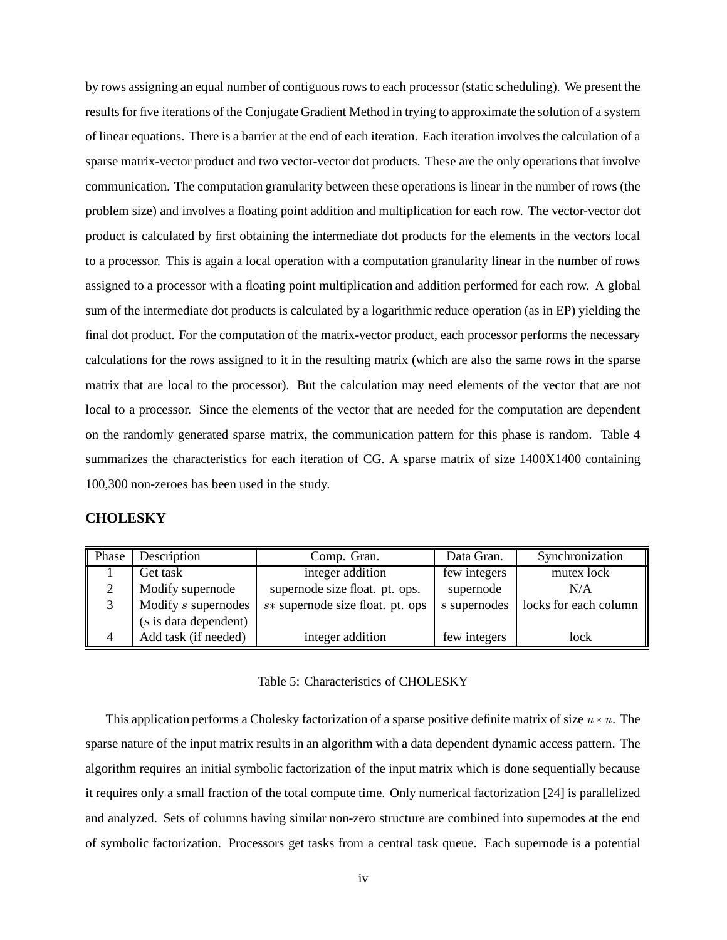by rows assigning an equal number of contiguousrows to each processor (static scheduling). We present the results for five iterations of the Conjugate Gradient Method in trying to approximate the solution of a system of linear equations. There is a barrier at the end of each iteration. Each iteration involves the calculation of a sparse matrix-vector product and two vector-vector dot products. These are the only operations that involve communication. The computation granularity between these operations is linear in the number of rows (the problem size) and involves a floating point addition and multiplication for each row. The vector-vector dot product is calculated by first obtaining the intermediate dot products for the elements in the vectors local to a processor. This is again a local operation with a computation granularity linear in the number of rows assigned to a processor with a floating point multiplication and addition performed for each row. A global sum of the intermediate dot products is calculated by a logarithmic reduce operation (as in EP) yielding the final dot product. For the computation of the matrix-vector product, each processor performs the necessary calculations for the rows assigned to it in the resulting matrix (which are also the same rows in the sparse matrix that are local to the processor). But the calculation may need elements of the vector that are not local to a processor. Since the elements of the vector that are needed for the computation are dependent on the randomly generated sparse matrix, the communication pattern for this phase is random. Table 4 summarizes the characteristics for each iteration of CG. A sparse matrix of size 1400X1400 containing 100,300 non-zeroes has been used in the study.

### **CHOLESKY**

| Phase | Description             | Comp. Gran.                      | Data Gran.   | Synchronization       |
|-------|-------------------------|----------------------------------|--------------|-----------------------|
|       | Get task                | integer addition                 | few integers | mutex lock            |
|       | Modify supernode        | supernode size float. pt. ops.   | supernode    | N/A                   |
|       | Modify s supernodes     | s* supernode size float. pt. ops | s supernodes | locks for each column |
|       | $(s$ is data dependent) |                                  |              |                       |
| 4     | Add task (if needed)    | integer addition                 | few integers | lock                  |

#### Table 5: Characteristics of CHOLESKY

This application performs a Cholesky factorization of a sparse positive definite matrix of size  $n * n$ . The sparse nature of the input matrix results in an algorithm with a data dependent dynamic access pattern. The algorithm requires an initial symbolic factorization of the input matrix which is done sequentially because it requires only a small fraction of the total compute time. Only numerical factorization [24] is parallelized and analyzed. Sets of columns having similar non-zero structure are combined into supernodes at the end of symbolic factorization. Processors get tasks from a central task queue. Each supernode is a potential